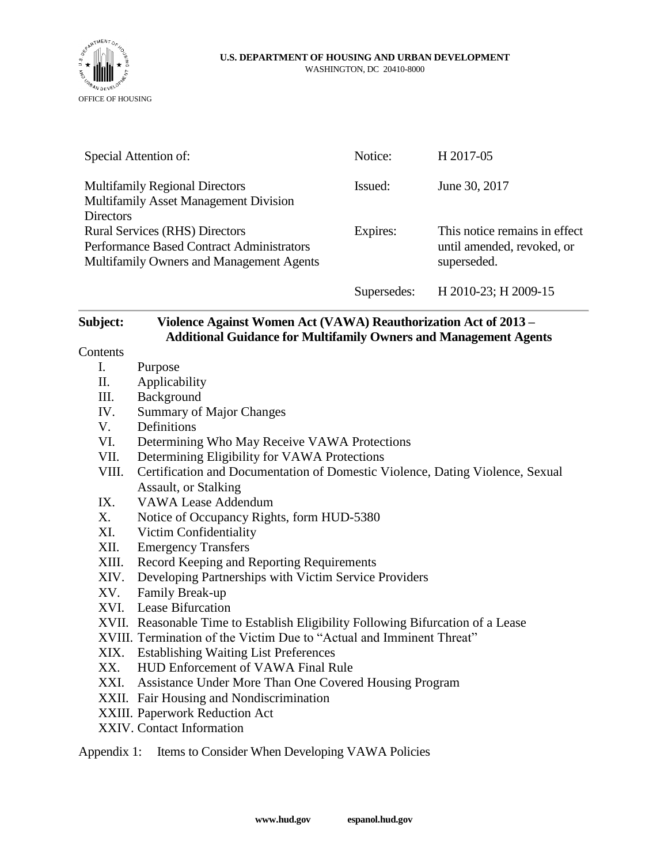

#### **U.S. DEPARTMENT OF HOUSING AND URBAN DEVELOPMENT** WASHINGTON, DC 20410-8000

| Special Attention of:                                                                                     |                                                                               | Notice:     | H 2017-05                     |  |  |
|-----------------------------------------------------------------------------------------------------------|-------------------------------------------------------------------------------|-------------|-------------------------------|--|--|
| <b>Multifamily Regional Directors</b><br><b>Multifamily Asset Management Division</b><br><b>Directors</b> |                                                                               | Issued:     | June 30, 2017                 |  |  |
| <b>Rural Services (RHS) Directors</b>                                                                     |                                                                               | Expires:    | This notice remains in effect |  |  |
| <b>Performance Based Contract Administrators</b>                                                          |                                                                               |             | until amended, revoked, or    |  |  |
| Multifamily Owners and Management Agents                                                                  |                                                                               |             | superseded.                   |  |  |
|                                                                                                           |                                                                               | Supersedes: | H 2010-23; H 2009-15          |  |  |
| Subject:                                                                                                  | Violence Against Women Act (VAWA) Reauthorization Act of 2013 –               |             |                               |  |  |
| Contents                                                                                                  | <b>Additional Guidance for Multifamily Owners and Management Agents</b>       |             |                               |  |  |
| $\mathbf{I}$ .                                                                                            |                                                                               |             |                               |  |  |
| II.                                                                                                       | Purpose<br>Applicability                                                      |             |                               |  |  |
| III.                                                                                                      | Background                                                                    |             |                               |  |  |
| IV.                                                                                                       | <b>Summary of Major Changes</b>                                               |             |                               |  |  |
| V.                                                                                                        | Definitions                                                                   |             |                               |  |  |
| VI.                                                                                                       | Determining Who May Receive VAWA Protections                                  |             |                               |  |  |
| VII.                                                                                                      | Determining Eligibility for VAWA Protections                                  |             |                               |  |  |
| VIII.                                                                                                     | Certification and Documentation of Domestic Violence, Dating Violence, Sexual |             |                               |  |  |
|                                                                                                           | Assault, or Stalking                                                          |             |                               |  |  |
| IX.                                                                                                       | <b>VAWA Lease Addendum</b>                                                    |             |                               |  |  |
| X.                                                                                                        | Notice of Occupancy Rights, form HUD-5380                                     |             |                               |  |  |
| XI.                                                                                                       | Victim Confidentiality                                                        |             |                               |  |  |
| XII.                                                                                                      | <b>Emergency Transfers</b>                                                    |             |                               |  |  |
| XIII.                                                                                                     | Record Keeping and Reporting Requirements                                     |             |                               |  |  |
| XIV.                                                                                                      | Developing Partnerships with Victim Service Providers                         |             |                               |  |  |
| XV.                                                                                                       | Family Break-up                                                               |             |                               |  |  |

- XVI. Lease Bifurcation
- XVII. Reasonable Time to Establish Eligibility Following Bifurcation of a Lease
- XVIII. Termination of the Victim Due to "Actual and Imminent Threat"
- XIX. Establishing Waiting List Preferences
- XX. HUD Enforcement of VAWA Final Rule
- XXI. Assistance Under More Than One Covered Housing Program
- XXII. Fair Housing and Nondiscrimination
- XXIII. Paperwork Reduction Act
- XXIV. Contact Information

Appendix 1: Items to Consider When Developing VAWA Policies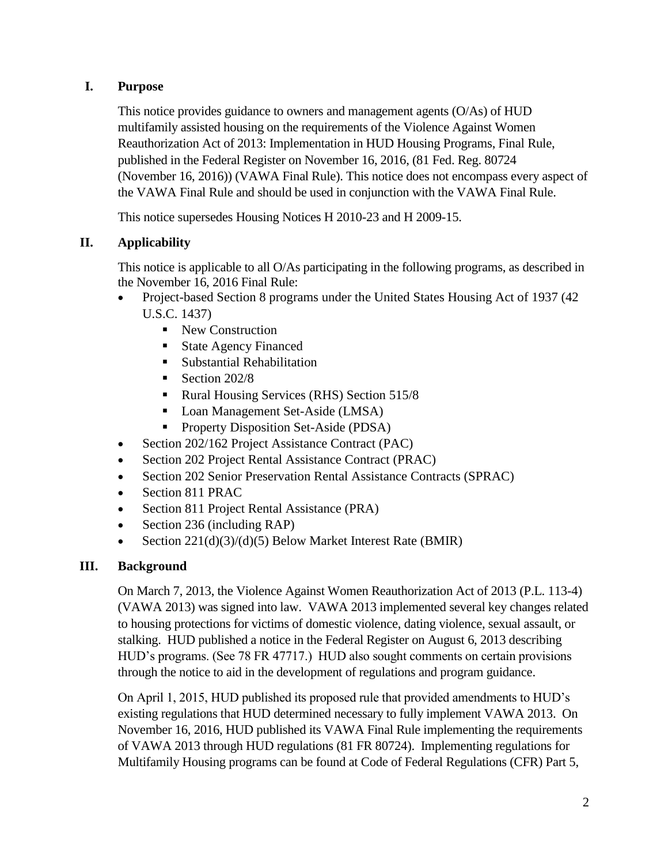## **I. Purpose**

This notice provides guidance to owners and management agents (O/As) of HUD multifamily assisted housing on the requirements of the Violence Against Women Reauthorization Act of 2013: Implementation in HUD Housing Programs, Final Rule, published in the Federal Register on November 16, 2016, (81 Fed. Reg. 80724 (November 16, 2016)) (VAWA Final Rule). This notice does not encompass every aspect of the VAWA Final Rule and should be used in conjunction with the VAWA Final Rule.

This notice supersedes Housing Notices H 2010-23 and H 2009-15.

## **II. Applicability**

This notice is applicable to all O/As participating in the following programs, as described in the November 16, 2016 Final Rule:

- Project-based Section 8 programs under the United States Housing Act of 1937 (42) U.S.C. 1437)
	- New Construction
	- **State Agency Financed**
	- Substantial Rehabilitation
	- $\blacksquare$  Section 202/8
	- Rural Housing Services (RHS) Section 515/8
	- Loan Management Set-Aside (LMSA)
	- **•** Property Disposition Set-Aside (PDSA)
- Section 202/162 Project Assistance Contract (PAC)
- Section 202 Project Rental Assistance Contract (PRAC)
- Section 202 Senior Preservation Rental Assistance Contracts (SPRAC)
- Section 811 PRAC
- Section 811 Project Rental Assistance (PRA)
- Section 236 (including RAP)
- Section 221(d)(3)/(d)(5) Below Market Interest Rate (BMIR)

#### **III. Background**

On March 7, 2013, the Violence Against Women Reauthorization Act of 2013 (P.L. 113-4) (VAWA 2013) was signed into law. VAWA 2013 implemented several key changes related to housing protections for victims of domestic violence, dating violence, sexual assault, or stalking. HUD published a notice in the Federal Register on August 6, 2013 describing HUD's programs. (See 78 FR 47717.) HUD also sought comments on certain provisions through the notice to aid in the development of regulations and program guidance.

On April 1, 2015, HUD published its proposed rule that provided amendments to HUD's existing regulations that HUD determined necessary to fully implement VAWA 2013. On November 16, 2016, HUD published its VAWA Final Rule implementing the requirements of VAWA 2013 through HUD regulations (81 FR 80724). Implementing regulations for Multifamily Housing programs can be found at Code of Federal Regulations (CFR) Part 5,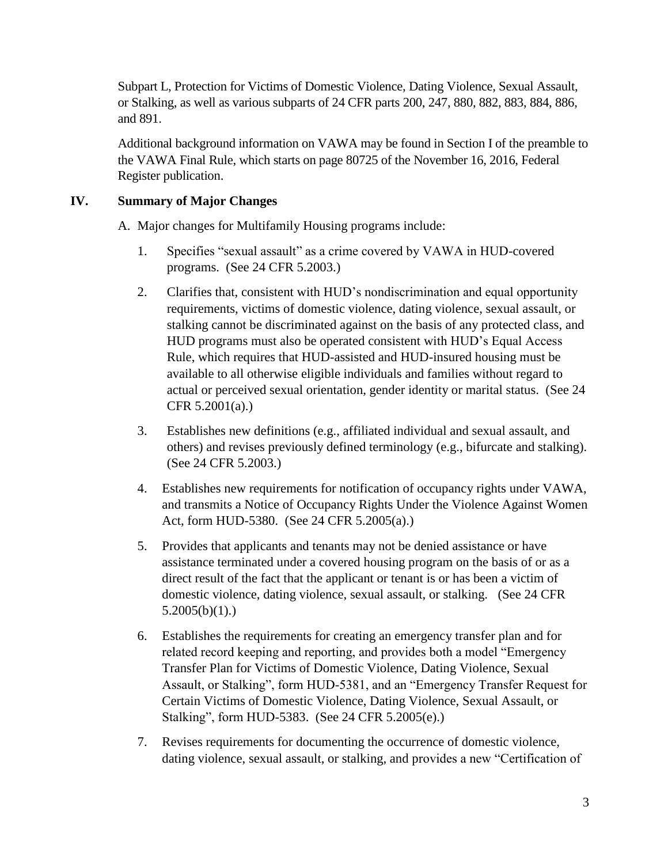Subpart L, Protection for Victims of Domestic Violence, Dating Violence, Sexual Assault, or Stalking, as well as various subparts of 24 CFR parts 200, 247, 880, 882, 883, 884, 886, and 891.

Additional background information on VAWA may be found in Section I of the preamble to the VAWA Final Rule, which starts on page 80725 of the November 16, 2016, Federal Register publication.

## **IV. Summary of Major Changes**

A. Major changes for Multifamily Housing programs include:

- 1. Specifies "sexual assault" as a crime covered by VAWA in HUD-covered programs. (See 24 CFR 5.2003.)
- 2. Clarifies that, consistent with HUD's nondiscrimination and equal opportunity requirements, victims of domestic violence, dating violence, sexual assault, or stalking cannot be discriminated against on the basis of any protected class, and HUD programs must also be operated consistent with HUD's Equal Access Rule, which requires that HUD-assisted and HUD-insured housing must be available to all otherwise eligible individuals and families without regard to actual or perceived sexual orientation, gender identity or marital status. (See 24 CFR 5.2001(a).)
- 3. Establishes new definitions (e.g., affiliated individual and sexual assault, and others) and revises previously defined terminology (e.g., bifurcate and stalking). (See 24 CFR 5.2003.)
- 4. Establishes new requirements for notification of occupancy rights under VAWA, and transmits a Notice of Occupancy Rights Under the Violence Against Women Act, form HUD-5380. (See 24 CFR 5.2005(a).)
- 5. Provides that applicants and tenants may not be denied assistance or have assistance terminated under a covered housing program on the basis of or as a direct result of the fact that the applicant or tenant is or has been a victim of domestic violence, dating violence, sexual assault, or stalking. (See 24 CFR  $5.2005(b)(1)$ .
- 6. Establishes the requirements for creating an emergency transfer plan and for related record keeping and reporting, and provides both a model "Emergency Transfer Plan for Victims of Domestic Violence, Dating Violence, Sexual Assault, or Stalking", form HUD-5381, and an "Emergency Transfer Request for Certain Victims of Domestic Violence, Dating Violence, Sexual Assault, or Stalking", form HUD-5383. (See 24 CFR 5.2005(e).)
- 7. Revises requirements for documenting the occurrence of domestic violence, dating violence, sexual assault, or stalking, and provides a new "Certification of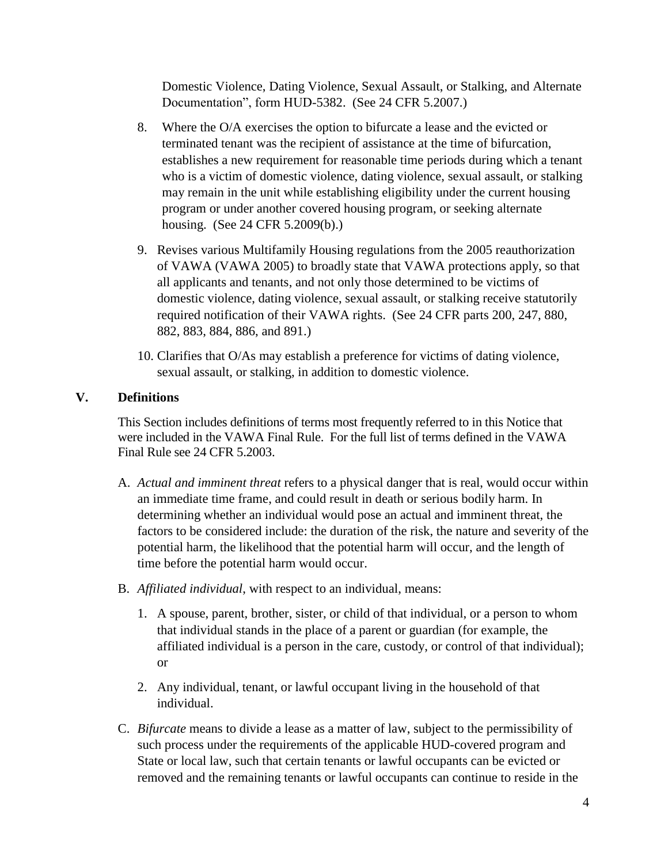Domestic Violence, Dating Violence, Sexual Assault, or Stalking, and Alternate Documentation", form HUD-5382. (See 24 CFR 5.2007.)

- 8. Where the O/A exercises the option to bifurcate a lease and the evicted or terminated tenant was the recipient of assistance at the time of bifurcation, establishes a new requirement for reasonable time periods during which a tenant who is a victim of domestic violence, dating violence, sexual assault, or stalking may remain in the unit while establishing eligibility under the current housing program or under another covered housing program, or seeking alternate housing. (See 24 CFR 5.2009(b).)
- 9. Revises various Multifamily Housing regulations from the 2005 reauthorization of VAWA (VAWA 2005) to broadly state that VAWA protections apply, so that all applicants and tenants, and not only those determined to be victims of domestic violence, dating violence, sexual assault, or stalking receive statutorily required notification of their VAWA rights. (See 24 CFR parts 200, 247, 880, 882, 883, 884, 886, and 891.)
- 10. Clarifies that O/As may establish a preference for victims of dating violence, sexual assault, or stalking, in addition to domestic violence.

## **V. Definitions**

This Section includes definitions of terms most frequently referred to in this Notice that were included in the VAWA Final Rule. For the full list of terms defined in the VAWA Final Rule see 24 CFR 5.2003.

- A. *Actual and imminent threat* refers to a physical danger that is real, would occur within an immediate time frame, and could result in death or serious bodily harm. In determining whether an individual would pose an actual and imminent threat, the factors to be considered include: the duration of the risk, the nature and severity of the potential harm, the likelihood that the potential harm will occur, and the length of time before the potential harm would occur.
- B. *Affiliated individual*, with respect to an individual, means:
	- 1. A spouse, parent, brother, sister, or child of that individual, or a person to whom that individual stands in the place of a parent or guardian (for example, the affiliated individual is a person in the care, custody, or control of that individual); or
	- 2. Any individual, tenant, or lawful occupant living in the household of that individual.
- C. *Bifurcate* means to divide a lease as a matter of law, subject to the permissibility of such process under the requirements of the applicable HUD-covered program and State or local law, such that certain tenants or lawful occupants can be evicted or removed and the remaining tenants or lawful occupants can continue to reside in the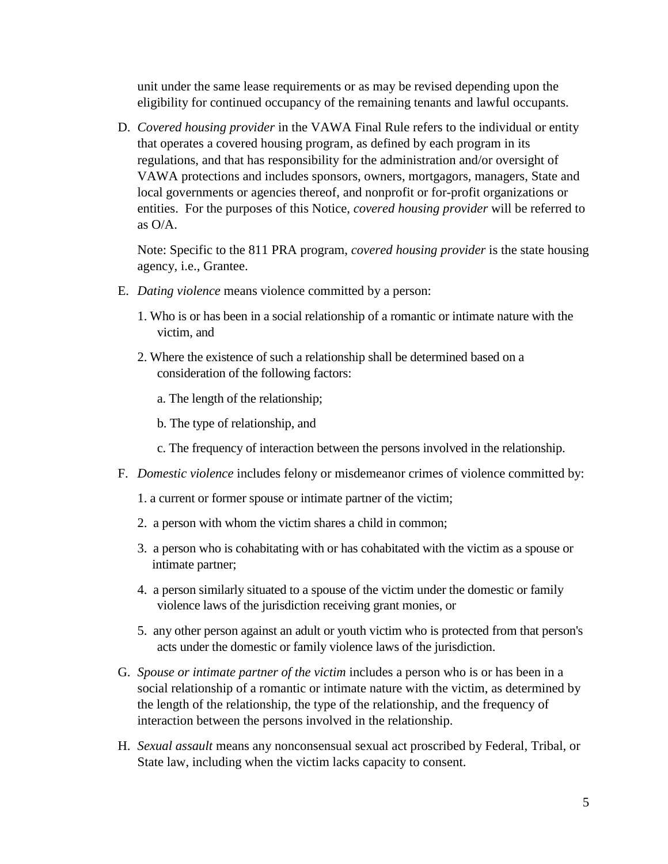unit under the same lease requirements or as may be revised depending upon the eligibility for continued occupancy of the remaining tenants and lawful occupants.

D. *Covered housing provider* in the VAWA Final Rule refers to the individual or entity that operates a covered housing program, as defined by each program in its regulations, and that has responsibility for the administration and/or oversight of VAWA protections and includes sponsors, owners, mortgagors, managers, State and local governments or agencies thereof, and nonprofit or for-profit organizations or entities. For the purposes of this Notice, *covered housing provider* will be referred to as O/A.

Note: Specific to the 811 PRA program, *covered housing provider* is the state housing agency, i.e., Grantee.

- E. *Dating violence* means violence committed by a person:
	- 1. Who is or has been in a social relationship of a romantic or intimate nature with the victim, and
	- 2. Where the existence of such a relationship shall be determined based on a consideration of the following factors:
		- a. The length of the relationship;
		- b. The type of relationship, and
		- c. The frequency of interaction between the persons involved in the relationship.
- F. *Domestic violence* includes felony or misdemeanor crimes of violence committed by:
	- 1. a current or former spouse or intimate partner of the victim;
	- 2. a person with whom the victim shares a child in common;
	- 3. a person who is cohabitating with or has cohabitated with the victim as a spouse or intimate partner;
	- 4. a person similarly situated to a spouse of the victim under the domestic or family violence laws of the jurisdiction receiving grant monies, or
	- 5. any other person against an adult or youth victim who is protected from that person's acts under the domestic or family violence laws of the jurisdiction.
- G. *Spouse or intimate partner of the victim* includes a person who is or has been in a social relationship of a romantic or intimate nature with the victim, as determined by the length of the relationship, the type of the relationship, and the frequency of interaction between the persons involved in the relationship.
- H. *Sexual assault* means any nonconsensual sexual act proscribed by Federal, Tribal, or State law, including when the victim lacks capacity to consent.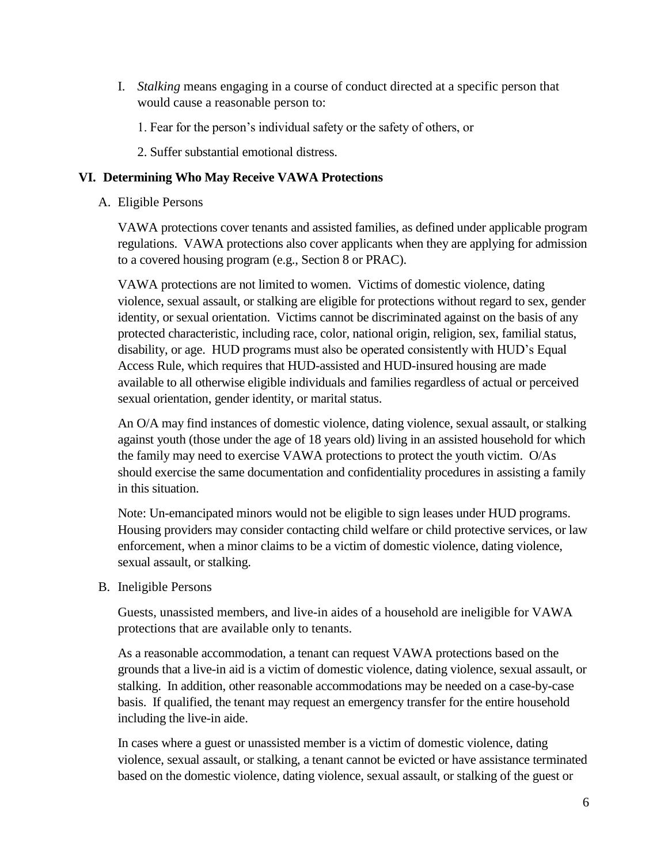- I. *Stalking* means engaging in a course of conduct directed at a specific person that would cause a reasonable person to:
	- 1. Fear for the person's individual safety or the safety of others, or
	- 2. Suffer substantial emotional distress.

#### **VI. Determining Who May Receive VAWA Protections**

A. Eligible Persons

VAWA protections cover tenants and assisted families, as defined under applicable program regulations. VAWA protections also cover applicants when they are applying for admission to a covered housing program (e.g., Section 8 or PRAC).

VAWA protections are not limited to women. Victims of domestic violence, dating violence, sexual assault, or stalking are eligible for protections without regard to sex, gender identity, or sexual orientation. Victims cannot be discriminated against on the basis of any protected characteristic, including race, color, national origin, religion, sex, familial status, disability, or age. HUD programs must also be operated consistently with HUD's Equal Access Rule, which requires that HUD-assisted and HUD-insured housing are made available to all otherwise eligible individuals and families regardless of actual or perceived sexual orientation, gender identity, or marital status.

An O/A may find instances of domestic violence, dating violence, sexual assault, or stalking against youth (those under the age of 18 years old) living in an assisted household for which the family may need to exercise VAWA protections to protect the youth victim. O/As should exercise the same documentation and confidentiality procedures in assisting a family in this situation.

Note: Un-emancipated minors would not be eligible to sign leases under HUD programs. Housing providers may consider contacting child welfare or child protective services, or law enforcement, when a minor claims to be a victim of domestic violence, dating violence, sexual assault, or stalking.

B. Ineligible Persons

Guests, unassisted members, and live-in aides of a household are ineligible for VAWA protections that are available only to tenants.

As a reasonable accommodation, a tenant can request VAWA protections based on the grounds that a live-in aid is a victim of domestic violence, dating violence, sexual assault, or stalking. In addition, other reasonable accommodations may be needed on a case-by-case basis. If qualified, the tenant may request an emergency transfer for the entire household including the live-in aide.

In cases where a guest or unassisted member is a victim of domestic violence, dating violence, sexual assault, or stalking, a tenant cannot be evicted or have assistance terminated based on the domestic violence, dating violence, sexual assault, or stalking of the guest or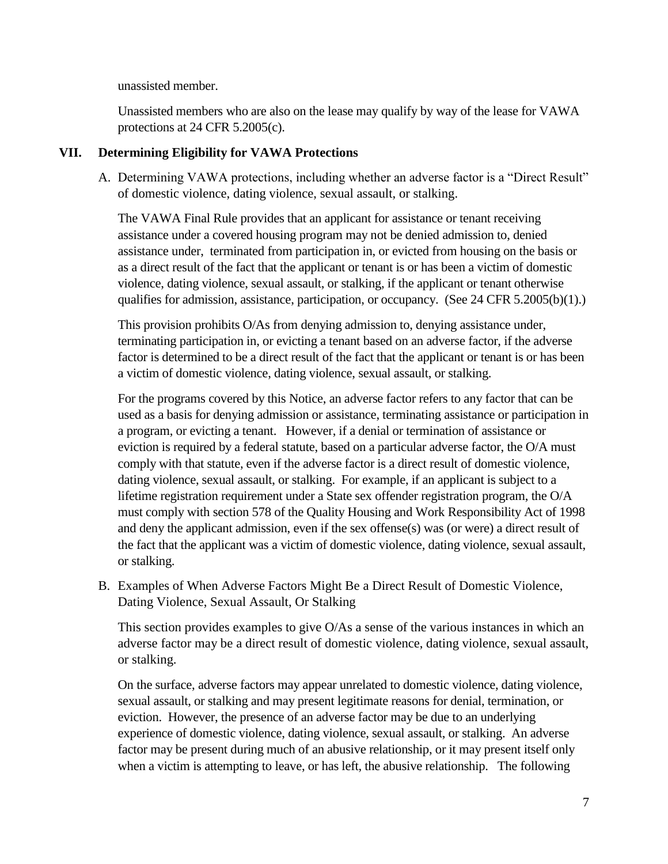unassisted member.

Unassisted members who are also on the lease may qualify by way of the lease for VAWA protections at 24 CFR 5.2005(c).

#### **VII. Determining Eligibility for VAWA Protections**

A. Determining VAWA protections, including whether an adverse factor is a "Direct Result" of domestic violence, dating violence, sexual assault, or stalking.

The VAWA Final Rule provides that an applicant for assistance or tenant receiving assistance under a covered housing program may not be denied admission to, denied assistance under, terminated from participation in, or evicted from housing on the basis or as a direct result of the fact that the applicant or tenant is or has been a victim of domestic violence, dating violence, sexual assault, or stalking, if the applicant or tenant otherwise qualifies for admission, assistance, participation, or occupancy. (See 24 CFR 5.2005(b)(1).)

This provision prohibits O/As from denying admission to, denying assistance under, terminating participation in, or evicting a tenant based on an adverse factor, if the adverse factor is determined to be a direct result of the fact that the applicant or tenant is or has been a victim of domestic violence, dating violence, sexual assault, or stalking.

For the programs covered by this Notice, an adverse factor refers to any factor that can be used as a basis for denying admission or assistance, terminating assistance or participation in a program, or evicting a tenant. However, if a denial or termination of assistance or eviction is required by a federal statute, based on a particular adverse factor, the O/A must comply with that statute, even if the adverse factor is a direct result of domestic violence, dating violence, sexual assault, or stalking. For example, if an applicant is subject to a lifetime registration requirement under a State sex offender registration program, the O/A must comply with section 578 of the Quality Housing and Work Responsibility Act of 1998 and deny the applicant admission, even if the sex offense(s) was (or were) a direct result of the fact that the applicant was a victim of domestic violence, dating violence, sexual assault, or stalking.

B. Examples of When Adverse Factors Might Be a Direct Result of Domestic Violence, Dating Violence, Sexual Assault, Or Stalking

This section provides examples to give O/As a sense of the various instances in which an adverse factor may be a direct result of domestic violence, dating violence, sexual assault, or stalking.

On the surface, adverse factors may appear unrelated to domestic violence, dating violence, sexual assault, or stalking and may present legitimate reasons for denial, termination, or eviction. However, the presence of an adverse factor may be due to an underlying experience of domestic violence, dating violence, sexual assault, or stalking. An adverse factor may be present during much of an abusive relationship, or it may present itself only when a victim is attempting to leave, or has left, the abusive relationship. The following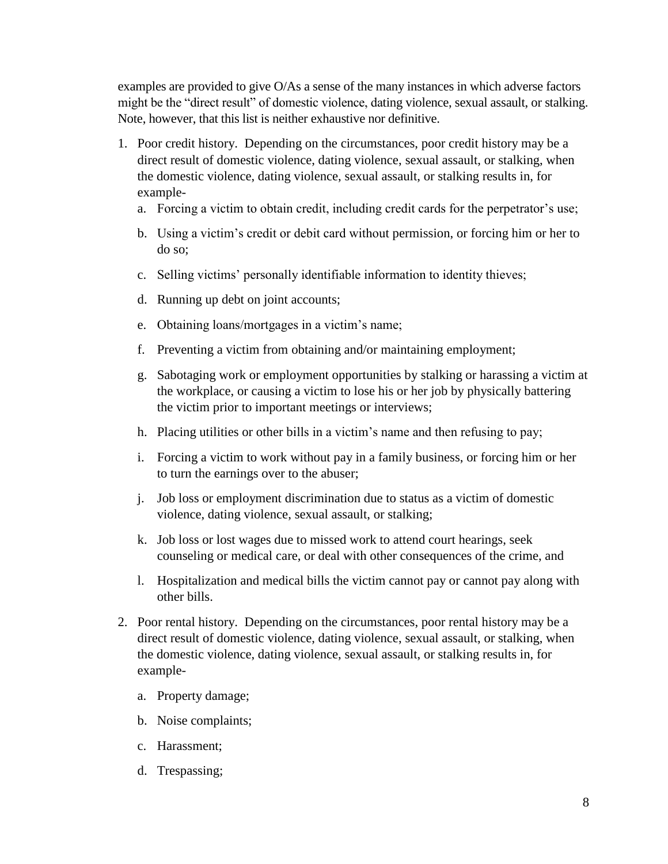examples are provided to give O/As a sense of the many instances in which adverse factors might be the "direct result" of domestic violence, dating violence, sexual assault, or stalking. Note, however, that this list is neither exhaustive nor definitive.

- 1. Poor credit history. Depending on the circumstances, poor credit history may be a direct result of domestic violence, dating violence, sexual assault, or stalking, when the domestic violence, dating violence, sexual assault, or stalking results in, for example
	- a. Forcing a victim to obtain credit, including credit cards for the perpetrator's use;
	- b. Using a victim's credit or debit card without permission, or forcing him or her to do so;
	- c. Selling victims' personally identifiable information to identity thieves;
	- d. Running up debt on joint accounts;
	- e. Obtaining loans/mortgages in a victim's name;
	- f. Preventing a victim from obtaining and/or maintaining employment;
	- g. Sabotaging work or employment opportunities by stalking or harassing a victim at the workplace, or causing a victim to lose his or her job by physically battering the victim prior to important meetings or interviews;
	- h. Placing utilities or other bills in a victim's name and then refusing to pay;
	- i. Forcing a victim to work without pay in a family business, or forcing him or her to turn the earnings over to the abuser;
	- j. Job loss or employment discrimination due to status as a victim of domestic violence, dating violence, sexual assault, or stalking;
	- k. Job loss or lost wages due to missed work to attend court hearings, seek counseling or medical care, or deal with other consequences of the crime, and
	- l. Hospitalization and medical bills the victim cannot pay or cannot pay along with other bills.
- 2. Poor rental history. Depending on the circumstances, poor rental history may be a direct result of domestic violence, dating violence, sexual assault, or stalking, when the domestic violence, dating violence, sexual assault, or stalking results in, for example
	- a. Property damage;
	- b. Noise complaints;
	- c. Harassment;
	- d. Trespassing;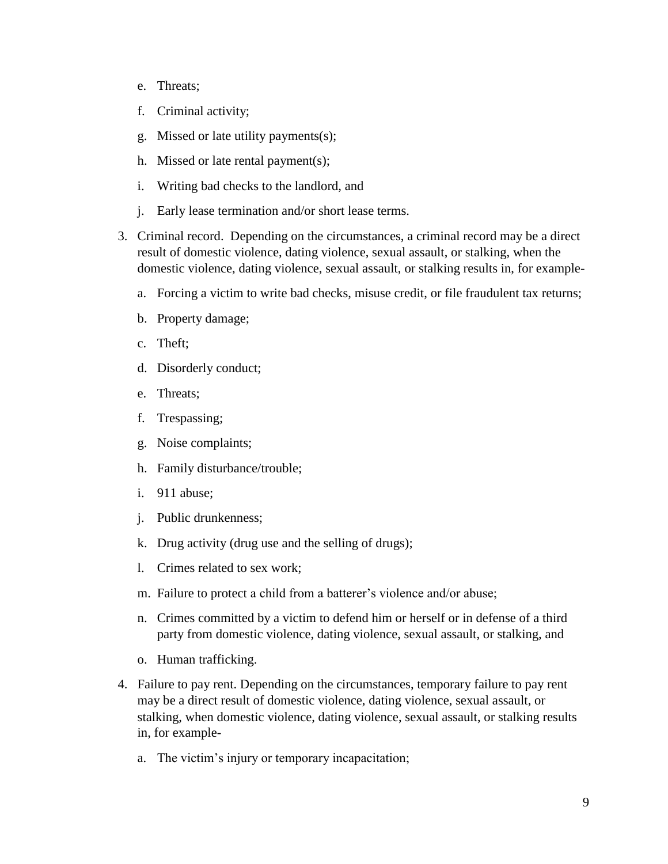- e. Threats;
- f. Criminal activity;
- g. Missed or late utility payments(s);
- h. Missed or late rental payment(s);
- i. Writing bad checks to the landlord, and
- j. Early lease termination and/or short lease terms.
- 3. Criminal record. Depending on the circumstances, a criminal record may be a direct result of domestic violence, dating violence, sexual assault, or stalking, when the domestic violence, dating violence, sexual assault, or stalking results in, for example
	- a. Forcing a victim to write bad checks, misuse credit, or file fraudulent tax returns;
	- b. Property damage;
	- c. Theft;
	- d. Disorderly conduct;
	- e. Threats;
	- f. Trespassing;
	- g. Noise complaints;
	- h. Family disturbance/trouble;
	- i. 911 abuse;
	- j. Public drunkenness;
	- k. Drug activity (drug use and the selling of drugs);
	- l. Crimes related to sex work;
	- m. Failure to protect a child from a batterer's violence and/or abuse;
	- n. Crimes committed by a victim to defend him or herself or in defense of a third party from domestic violence, dating violence, sexual assault, or stalking, and
	- o. Human trafficking.
- 4. Failure to pay rent. Depending on the circumstances, temporary failure to pay rent may be a direct result of domestic violence, dating violence, sexual assault, or stalking, when domestic violence, dating violence, sexual assault, or stalking results in, for example
	- a. The victim's injury or temporary incapacitation;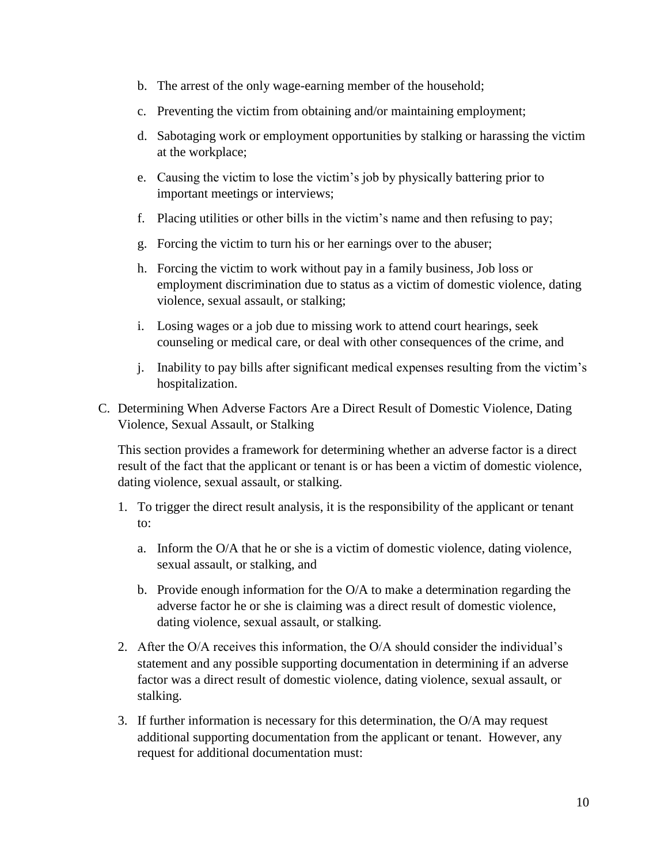- b. The arrest of the only wage-earning member of the household;
- c. Preventing the victim from obtaining and/or maintaining employment;
- d. Sabotaging work or employment opportunities by stalking or harassing the victim at the workplace;
- e. Causing the victim to lose the victim's job by physically battering prior to important meetings or interviews;
- f. Placing utilities or other bills in the victim's name and then refusing to pay;
- g. Forcing the victim to turn his or her earnings over to the abuser;
- h. Forcing the victim to work without pay in a family business, Job loss or employment discrimination due to status as a victim of domestic violence, dating violence, sexual assault, or stalking;
- i. Losing wages or a job due to missing work to attend court hearings, seek counseling or medical care, or deal with other consequences of the crime, and
- j. Inability to pay bills after significant medical expenses resulting from the victim's hospitalization.
- C. Determining When Adverse Factors Are a Direct Result of Domestic Violence, Dating Violence, Sexual Assault, or Stalking

This section provides a framework for determining whether an adverse factor is a direct result of the fact that the applicant or tenant is or has been a victim of domestic violence, dating violence, sexual assault, or stalking.

- 1. To trigger the direct result analysis, it is the responsibility of the applicant or tenant to:
	- a. Inform the O/A that he or she is a victim of domestic violence, dating violence, sexual assault, or stalking, and
	- b. Provide enough information for the O/A to make a determination regarding the adverse factor he or she is claiming was a direct result of domestic violence, dating violence, sexual assault, or stalking.
- 2. After the O/A receives this information, the O/A should consider the individual's statement and any possible supporting documentation in determining if an adverse factor was a direct result of domestic violence, dating violence, sexual assault, or stalking.
- 3. If further information is necessary for this determination, the O/A may request additional supporting documentation from the applicant or tenant. However, any request for additional documentation must: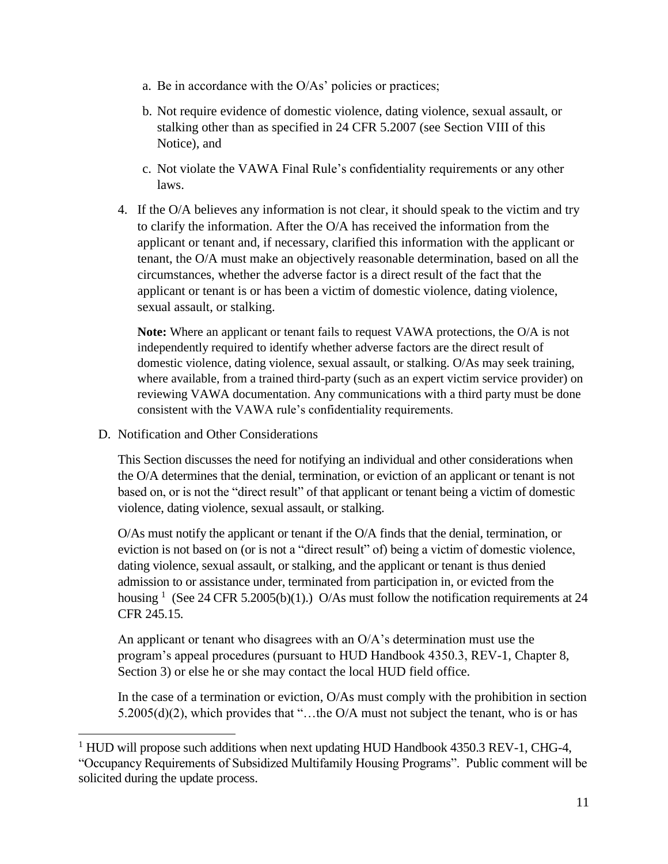- a. Be in accordance with the O/As' policies or practices;
- b. Not require evidence of domestic violence, dating violence, sexual assault, or stalking other than as specified in 24 CFR 5.2007 (see Section VIII of this Notice), and
- c. Not violate the VAWA Final Rule's confidentiality requirements or any other laws.
- 4. If the O/A believes any information is not clear, it should speak to the victim and try to clarify the information. After the O/A has received the information from the applicant or tenant and, if necessary, clarified this information with the applicant or tenant, the O/A must make an objectively reasonable determination, based on all the circumstances, whether the adverse factor is a direct result of the fact that the applicant or tenant is or has been a victim of domestic violence, dating violence, sexual assault, or stalking.

**Note:** Where an applicant or tenant fails to request VAWA protections, the O/A is not independently required to identify whether adverse factors are the direct result of domestic violence, dating violence, sexual assault, or stalking. O/As may seek training, where available, from a trained third-party (such as an expert victim service provider) on reviewing VAWA documentation. Any communications with a third party must be done consistent with the VAWA rule's confidentiality requirements.

D. Notification and Other Considerations

 $\overline{a}$ 

This Section discusses the need for notifying an individual and other considerations when the O/A determines that the denial, termination, or eviction of an applicant or tenant is not based on, or is not the "direct result" of that applicant or tenant being a victim of domestic violence, dating violence, sexual assault, or stalking.

O/As must notify the applicant or tenant if the O/A finds that the denial, termination, or eviction is not based on (or is not a "direct result" of) being a victim of domestic violence, dating violence, sexual assault, or stalking, and the applicant or tenant is thus denied admission to or assistance under, terminated from participation in, or evicted from the housing <sup>1</sup> (See 24 CFR 5.2005(b)(1).) O/As must follow the notification requirements at 24 CFR 245.15.

An applicant or tenant who disagrees with an O/A's determination must use the program's appeal procedures (pursuant to HUD Handbook 4350.3, REV-1, Chapter 8, Section 3) or else he or she may contact the local HUD field office.

In the case of a termination or eviction, O/As must comply with the prohibition in section 5.2005(d)(2), which provides that "…the O/A must not subject the tenant, who is or has

 $1$  HUD will propose such additions when next updating HUD Handbook 4350.3 REV-1, CHG-4, "Occupancy Requirements of Subsidized Multifamily Housing Programs". Public comment will be solicited during the update process.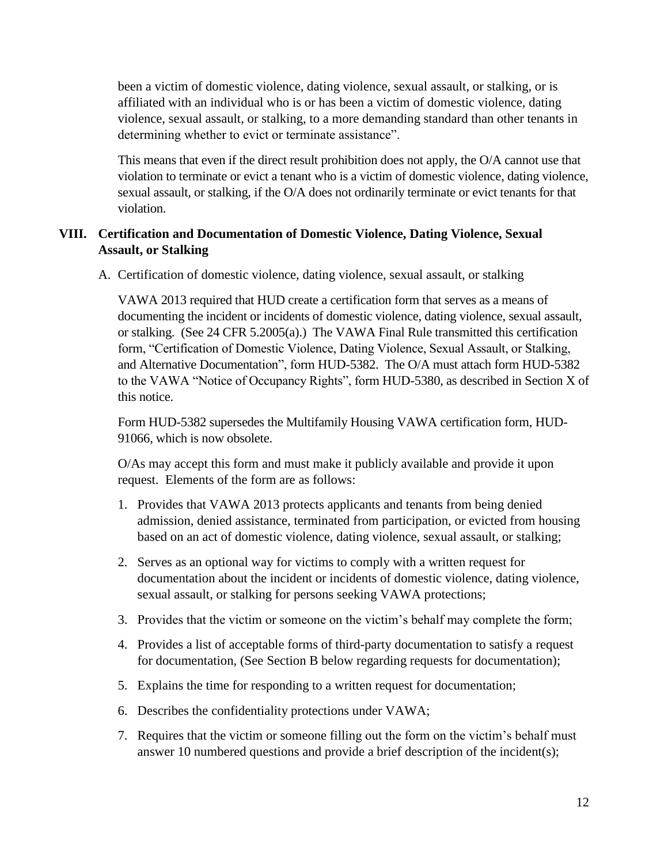been a victim of domestic violence, dating violence, sexual assault, or stalking, or is affiliated with an individual who is or has been a victim of domestic violence, dating violence, sexual assault, or stalking, to a more demanding standard than other tenants in determining whether to evict or terminate assistance".

This means that even if the direct result prohibition does not apply, the O/A cannot use that violation to terminate or evict a tenant who is a victim of domestic violence, dating violence, sexual assault, or stalking, if the O/A does not ordinarily terminate or evict tenants for that violation.

#### **VIII. Certification and Documentation of Domestic Violence, Dating Violence, Sexual Assault, or Stalking**

A. Certification of domestic violence, dating violence, sexual assault, or stalking

VAWA 2013 required that HUD create a certification form that serves as a means of documenting the incident or incidents of domestic violence, dating violence, sexual assault, or stalking. (See 24 CFR 5.2005(a).) The VAWA Final Rule transmitted this certification form, "Certification of Domestic Violence, Dating Violence, Sexual Assault, or Stalking, and Alternative Documentation", form HUD-5382. The O/A must attach form HUD-5382 to the VAWA "Notice of Occupancy Rights", form HUD-5380, as described in Section X of this notice.

Form HUD-5382 supersedes the Multifamily Housing VAWA certification form, HUD-91066, which is now obsolete.

O/As may accept this form and must make it publicly available and provide it upon request. Elements of the form are as follows:

- 1. Provides that VAWA 2013 protects applicants and tenants from being denied admission, denied assistance, terminated from participation, or evicted from housing based on an act of domestic violence, dating violence, sexual assault, or stalking;
- 2. Serves as an optional way for victims to comply with a written request for documentation about the incident or incidents of domestic violence, dating violence, sexual assault, or stalking for persons seeking VAWA protections;
- 3. Provides that the victim or someone on the victim's behalf may complete the form;
- 4. Provides a list of acceptable forms of third-party documentation to satisfy a request for documentation, (See Section B below regarding requests for documentation);
- 5. Explains the time for responding to a written request for documentation;
- 6. Describes the confidentiality protections under VAWA;
- 7. Requires that the victim or someone filling out the form on the victim's behalf must answer 10 numbered questions and provide a brief description of the incident(s);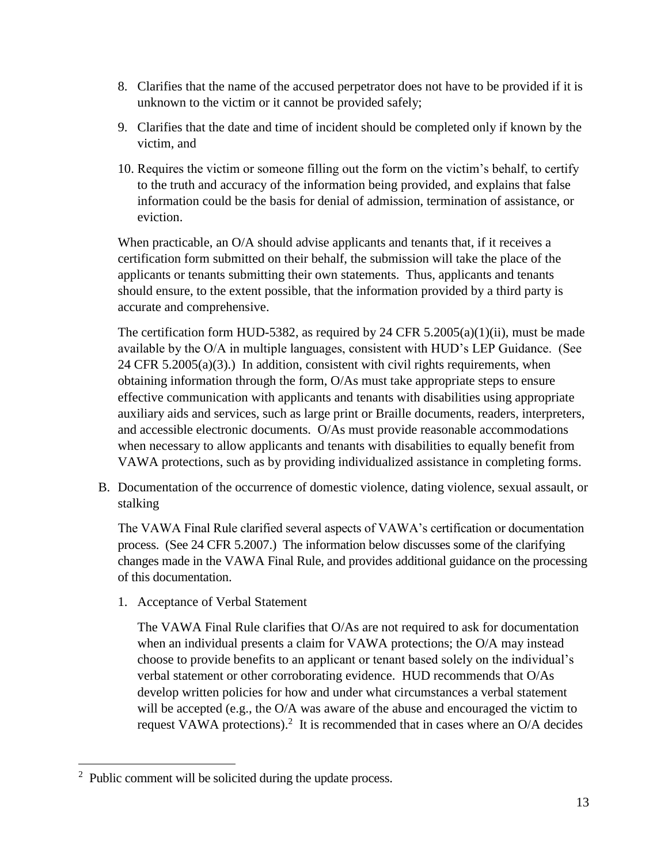- 8. Clarifies that the name of the accused perpetrator does not have to be provided if it is unknown to the victim or it cannot be provided safely;
- 9. Clarifies that the date and time of incident should be completed only if known by the victim, and
- 10. Requires the victim or someone filling out the form on the victim's behalf, to certify to the truth and accuracy of the information being provided, and explains that false information could be the basis for denial of admission, termination of assistance, or eviction.

When practicable, an O/A should advise applicants and tenants that, if it receives a certification form submitted on their behalf, the submission will take the place of the applicants or tenants submitting their own statements. Thus, applicants and tenants should ensure, to the extent possible, that the information provided by a third party is accurate and comprehensive.

The certification form HUD-5382, as required by 24 CFR 5.2005(a)(1)(ii), must be made available by the O/A in multiple languages, consistent with HUD's LEP Guidance. (See  $24$  CFR 5.2005(a)(3).) In addition, consistent with civil rights requirements, when obtaining information through the form, O/As must take appropriate steps to ensure effective communication with applicants and tenants with disabilities using appropriate auxiliary aids and services, such as large print or Braille documents, readers, interpreters, and accessible electronic documents. O/As must provide reasonable accommodations when necessary to allow applicants and tenants with disabilities to equally benefit from VAWA protections, such as by providing individualized assistance in completing forms.

B. Documentation of the occurrence of domestic violence, dating violence, sexual assault, or stalking

The VAWA Final Rule clarified several aspects of VAWA's certification or documentation process. (See 24 CFR 5.2007.) The information below discusses some of the clarifying changes made in the VAWA Final Rule, and provides additional guidance on the processing of this documentation.

1. Acceptance of Verbal Statement

The VAWA Final Rule clarifies that O/As are not required to ask for documentation when an individual presents a claim for VAWA protections; the O/A may instead choose to provide benefits to an applicant or tenant based solely on the individual's verbal statement or other corroborating evidence. HUD recommends that O/As develop written policies for how and under what circumstances a verbal statement will be accepted (e.g., the O/A was aware of the abuse and encouraged the victim to request VAWA protections).<sup>2</sup> It is recommended that in cases where an  $O/A$  decides

 $\overline{a}$ 

 $2$  Public comment will be solicited during the update process.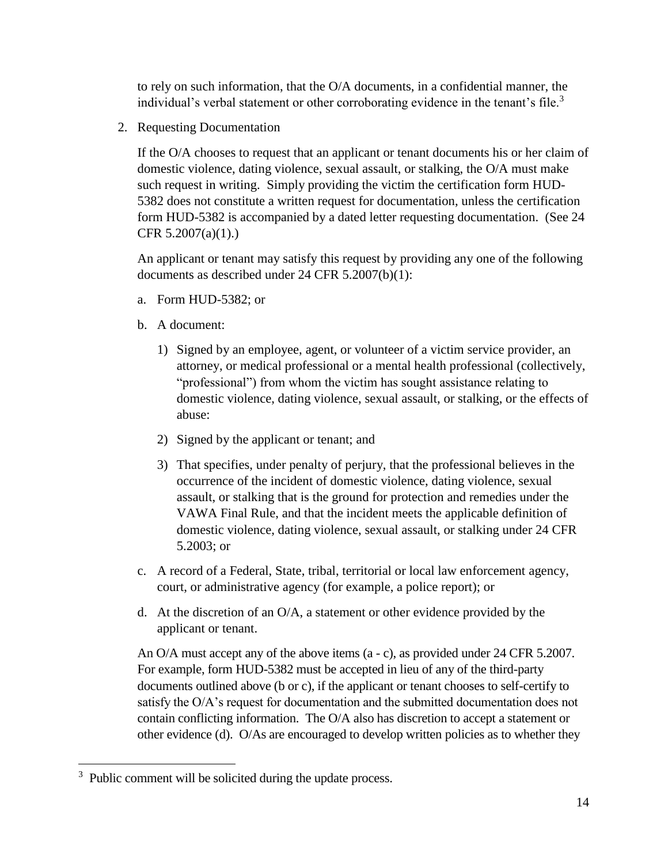to rely on such information, that the O/A documents, in a confidential manner, the individual's verbal statement or other corroborating evidence in the tenant's file.<sup>3</sup>

2. Requesting Documentation

If the O/A chooses to request that an applicant or tenant documents his or her claim of domestic violence, dating violence, sexual assault, or stalking, the O/A must make such request in writing. Simply providing the victim the certification form HUD-5382 does not constitute a written request for documentation, unless the certification form HUD-5382 is accompanied by a dated letter requesting documentation. (See 24 CFR 5.2007(a)(1).)

An applicant or tenant may satisfy this request by providing any one of the following documents as described under 24 CFR 5.2007(b)(1):

- a. Form HUD-5382; or
- b. A document:
	- 1) Signed by an employee, agent, or volunteer of a victim service provider, an attorney, or medical professional or a mental health professional (collectively, "professional") from whom the victim has sought assistance relating to domestic violence, dating violence, sexual assault, or stalking, or the effects of abuse:
	- 2) Signed by the applicant or tenant; and
	- 3) That specifies, under penalty of perjury, that the professional believes in the occurrence of the incident of domestic violence, dating violence, sexual assault, or stalking that is the ground for protection and remedies under the VAWA Final Rule, and that the incident meets the applicable definition of domestic violence, dating violence, sexual assault, or stalking under 24 CFR 5.2003; or
- c. A record of a Federal, State, tribal, territorial or local law enforcement agency, court, or administrative agency (for example, a police report); or
- d. At the discretion of an O/A, a statement or other evidence provided by the applicant or tenant.

An O/A must accept any of the above items (a - c), as provided under 24 CFR 5.2007. For example, form HUD-5382 must be accepted in lieu of any of the third-party documents outlined above (b or c), if the applicant or tenant chooses to self-certify to satisfy the O/A's request for documentation and the submitted documentation does not contain conflicting information. The O/A also has discretion to accept a statement or other evidence (d). O/As are encouraged to develop written policies as to whether they

 $\overline{a}$ <sup>3</sup> Public comment will be solicited during the update process.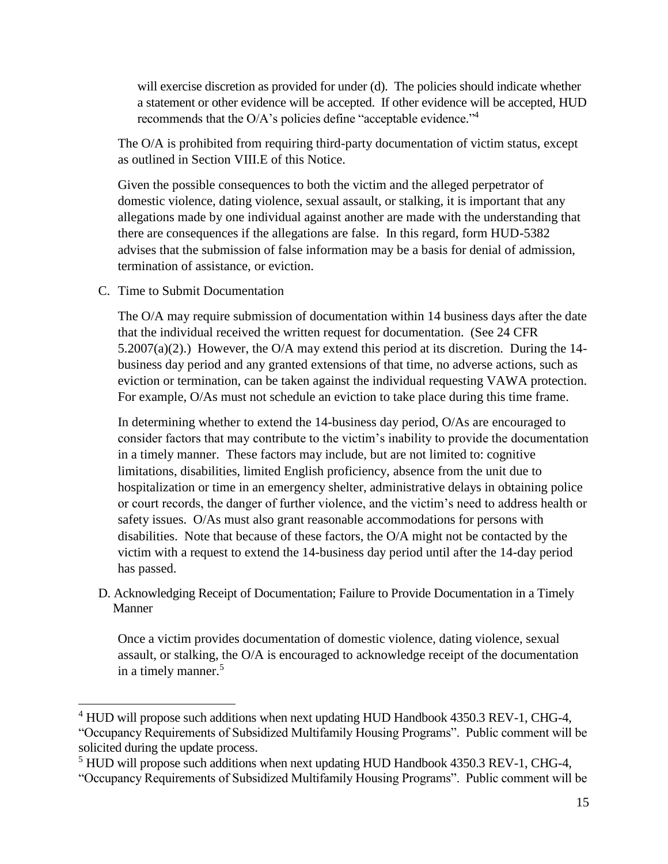will exercise discretion as provided for under (d). The policies should indicate whether a statement or other evidence will be accepted. If other evidence will be accepted, HUD recommends that the O/A's policies define "acceptable evidence." 4

The O/A is prohibited from requiring third-party documentation of victim status, except as outlined in Section VIII.E of this Notice.

Given the possible consequences to both the victim and the alleged perpetrator of domestic violence, dating violence, sexual assault, or stalking, it is important that any allegations made by one individual against another are made with the understanding that there are consequences if the allegations are false. In this regard, form HUD-5382 advises that the submission of false information may be a basis for denial of admission, termination of assistance, or eviction.

C. Time to Submit Documentation

 $\overline{a}$ 

The O/A may require submission of documentation within 14 business days after the date that the individual received the written request for documentation. (See 24 CFR 5.2007(a)(2).) However, the O/A may extend this period at its discretion. During the 14 business day period and any granted extensions of that time, no adverse actions, such as eviction or termination, can be taken against the individual requesting VAWA protection. For example, O/As must not schedule an eviction to take place during this time frame.

In determining whether to extend the 14-business day period, O/As are encouraged to consider factors that may contribute to the victim's inability to provide the documentation in a timely manner. These factors may include, but are not limited to: cognitive limitations, disabilities, limited English proficiency, absence from the unit due to hospitalization or time in an emergency shelter, administrative delays in obtaining police or court records, the danger of further violence, and the victim's need to address health or safety issues. O/As must also grant reasonable accommodations for persons with disabilities. Note that because of these factors, the O/A might not be contacted by the victim with a request to extend the 14-business day period until after the 14-day period has passed.

D. Acknowledging Receipt of Documentation; Failure to Provide Documentation in a Timely Manner

Once a victim provides documentation of domestic violence, dating violence, sexual assault, or stalking, the O/A is encouraged to acknowledge receipt of the documentation in a timely manner.<sup>5</sup>

<sup>&</sup>lt;sup>4</sup> HUD will propose such additions when next updating HUD Handbook 4350.3 REV-1, CHG-4, "Occupancy Requirements of Subsidized Multifamily Housing Programs". Public comment will be solicited during the update process.

<sup>&</sup>lt;sup>5</sup> HUD will propose such additions when next updating HUD Handbook 4350.3 REV-1, CHG-4,

<sup>&</sup>quot;Occupancy Requirements of Subsidized Multifamily Housing Programs". Public comment will be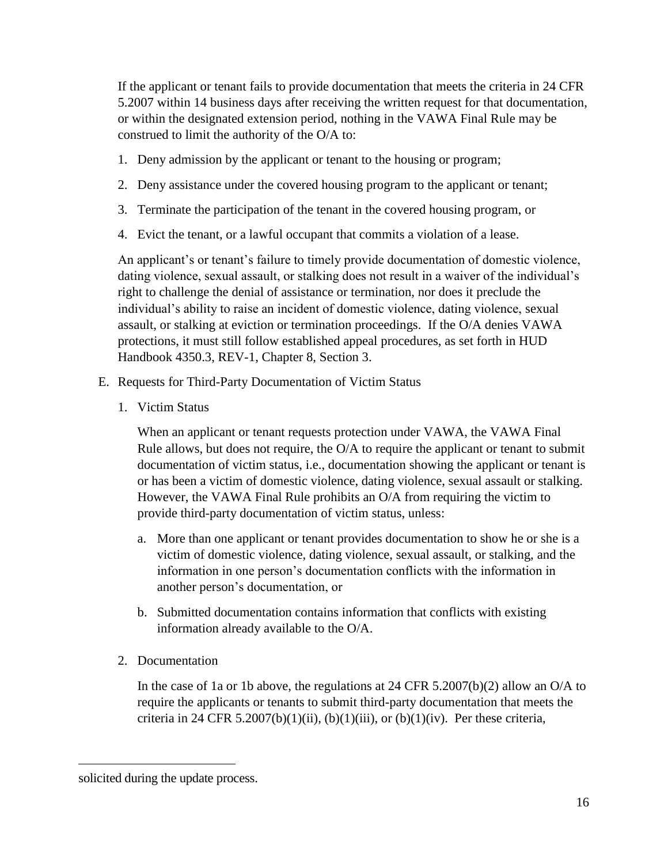If the applicant or tenant fails to provide documentation that meets the criteria in 24 CFR 5.2007 within 14 business days after receiving the written request for that documentation, or within the designated extension period, nothing in the VAWA Final Rule may be construed to limit the authority of the O/A to:

- 1. Deny admission by the applicant or tenant to the housing or program;
- 2. Deny assistance under the covered housing program to the applicant or tenant;
- 3. Terminate the participation of the tenant in the covered housing program, or
- 4. Evict the tenant, or a lawful occupant that commits a violation of a lease.

An applicant's or tenant's failure to timely provide documentation of domestic violence, dating violence, sexual assault, or stalking does not result in a waiver of the individual's right to challenge the denial of assistance or termination, nor does it preclude the individual's ability to raise an incident of domestic violence, dating violence, sexual assault, or stalking at eviction or termination proceedings. If the O/A denies VAWA protections, it must still follow established appeal procedures, as set forth in HUD Handbook 4350.3, REV-1, Chapter 8, Section 3.

- E. Requests for Third-Party Documentation of Victim Status
	- 1. Victim Status

When an applicant or tenant requests protection under VAWA, the VAWA Final Rule allows, but does not require, the O/A to require the applicant or tenant to submit documentation of victim status, i.e., documentation showing the applicant or tenant is or has been a victim of domestic violence, dating violence, sexual assault or stalking. However, the VAWA Final Rule prohibits an O/A from requiring the victim to provide third-party documentation of victim status, unless:

- a. More than one applicant or tenant provides documentation to show he or she is a victim of domestic violence, dating violence, sexual assault, or stalking, and the information in one person's documentation conflicts with the information in another person's documentation, or
- b. Submitted documentation contains information that conflicts with existing information already available to the O/A.
- 2. Documentation

In the case of 1a or 1b above, the regulations at 24 CFR 5.2007(b)(2) allow an O/A to require the applicants or tenants to submit third-party documentation that meets the criteria in 24 CFR 5.2007(b)(1)(ii), (b)(1)(iii), or (b)(1)(iv). Per these criteria,

 $\overline{a}$ 

solicited during the update process.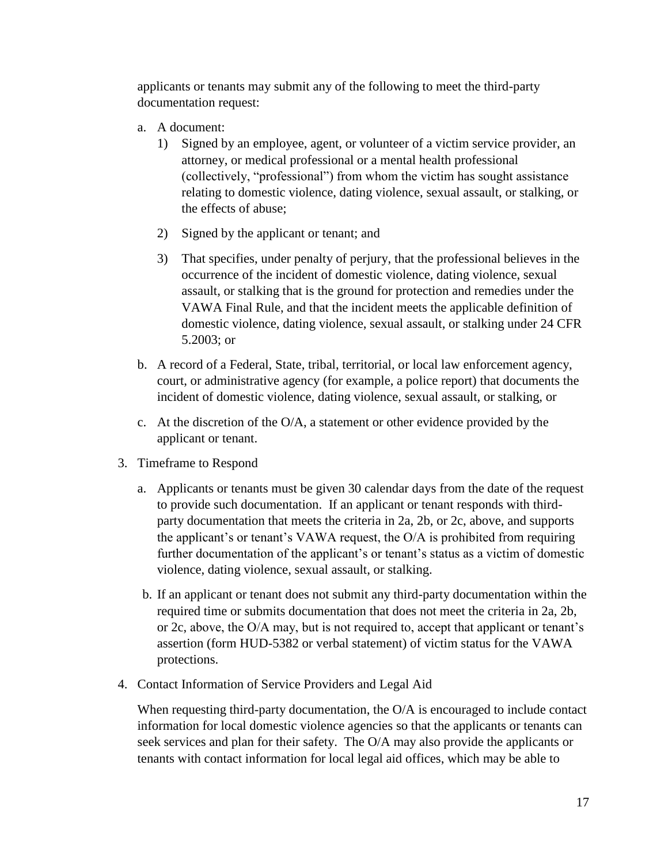applicants or tenants may submit any of the following to meet the third-party documentation request:

- a. A document:
	- 1) Signed by an employee, agent, or volunteer of a victim service provider, an attorney, or medical professional or a mental health professional (collectively, "professional") from whom the victim has sought assistance relating to domestic violence, dating violence, sexual assault, or stalking, or the effects of abuse;
	- 2) Signed by the applicant or tenant; and
	- 3) That specifies, under penalty of perjury, that the professional believes in the occurrence of the incident of domestic violence, dating violence, sexual assault, or stalking that is the ground for protection and remedies under the VAWA Final Rule, and that the incident meets the applicable definition of domestic violence, dating violence, sexual assault, or stalking under 24 CFR 5.2003; or
- b. A record of a Federal, State, tribal, territorial, or local law enforcement agency, court, or administrative agency (for example, a police report) that documents the incident of domestic violence, dating violence, sexual assault, or stalking, or
- c. At the discretion of the O/A, a statement or other evidence provided by the applicant or tenant.
- 3. Timeframe to Respond
	- a. Applicants or tenants must be given 30 calendar days from the date of the request to provide such documentation. If an applicant or tenant responds with thirdparty documentation that meets the criteria in 2a, 2b, or 2c, above, and supports the applicant's or tenant's VAWA request, the O/A is prohibited from requiring further documentation of the applicant's or tenant's status as a victim of domestic violence, dating violence, sexual assault, or stalking.
	- b. If an applicant or tenant does not submit any third-party documentation within the required time or submits documentation that does not meet the criteria in 2a, 2b, or 2c, above, the O/A may, but is not required to, accept that applicant or tenant's assertion (form HUD-5382 or verbal statement) of victim status for the VAWA protections.
- 4. Contact Information of Service Providers and Legal Aid

When requesting third-party documentation, the O/A is encouraged to include contact information for local domestic violence agencies so that the applicants or tenants can seek services and plan for their safety. The O/A may also provide the applicants or tenants with contact information for local legal aid offices, which may be able to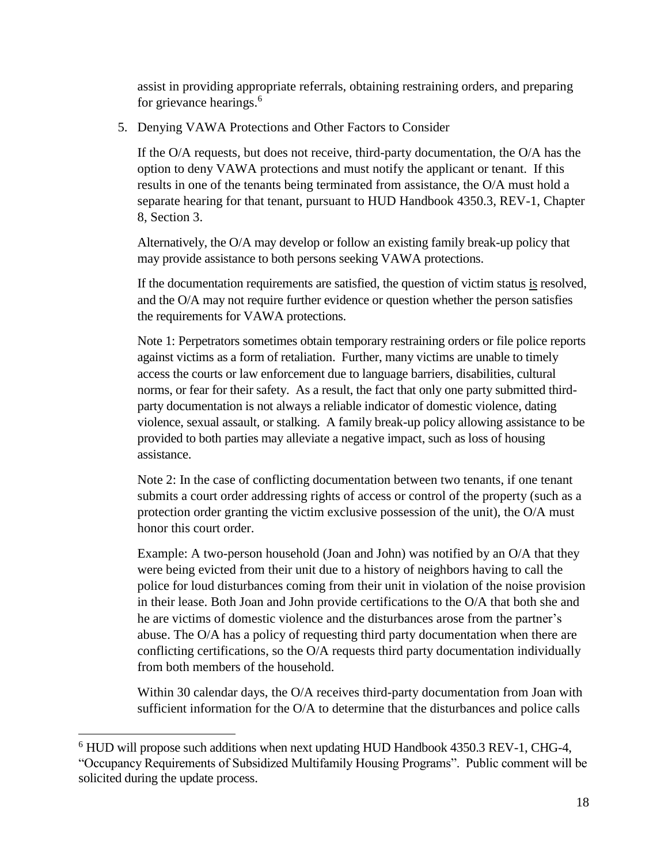assist in providing appropriate referrals, obtaining restraining orders, and preparing for grievance hearings.<sup>6</sup>

5. Denying VAWA Protections and Other Factors to Consider

If the O/A requests, but does not receive, third-party documentation, the O/A has the option to deny VAWA protections and must notify the applicant or tenant. If this results in one of the tenants being terminated from assistance, the O/A must hold a separate hearing for that tenant, pursuant to HUD Handbook 4350.3, REV-1, Chapter 8, Section 3.

Alternatively, the O/A may develop or follow an existing family break-up policy that may provide assistance to both persons seeking VAWA protections.

If the documentation requirements are satisfied, the question of victim status is resolved, and the O/A may not require further evidence or question whether the person satisfies the requirements for VAWA protections.

Note 1: Perpetrators sometimes obtain temporary restraining orders or file police reports against victims as a form of retaliation. Further, many victims are unable to timely access the courts or law enforcement due to language barriers, disabilities, cultural norms, or fear for their safety. As a result, the fact that only one party submitted thirdparty documentation is not always a reliable indicator of domestic violence, dating violence, sexual assault, or stalking. A family break-up policy allowing assistance to be provided to both parties may alleviate a negative impact, such as loss of housing assistance.

Note 2: In the case of conflicting documentation between two tenants, if one tenant submits a court order addressing rights of access or control of the property (such as a protection order granting the victim exclusive possession of the unit), the O/A must honor this court order.

Example: A two-person household (Joan and John) was notified by an O/A that they were being evicted from their unit due to a history of neighbors having to call the police for loud disturbances coming from their unit in violation of the noise provision in their lease. Both Joan and John provide certifications to the O/A that both she and he are victims of domestic violence and the disturbances arose from the partner's abuse. The O/A has a policy of requesting third party documentation when there are conflicting certifications, so the O/A requests third party documentation individually from both members of the household.

Within 30 calendar days, the O/A receives third-party documentation from Joan with sufficient information for the O/A to determine that the disturbances and police calls

 $\overline{a}$ 

 $6$  HUD will propose such additions when next updating HUD Handbook 4350.3 REV-1, CHG-4, "Occupancy Requirements of Subsidized Multifamily Housing Programs". Public comment will be solicited during the update process.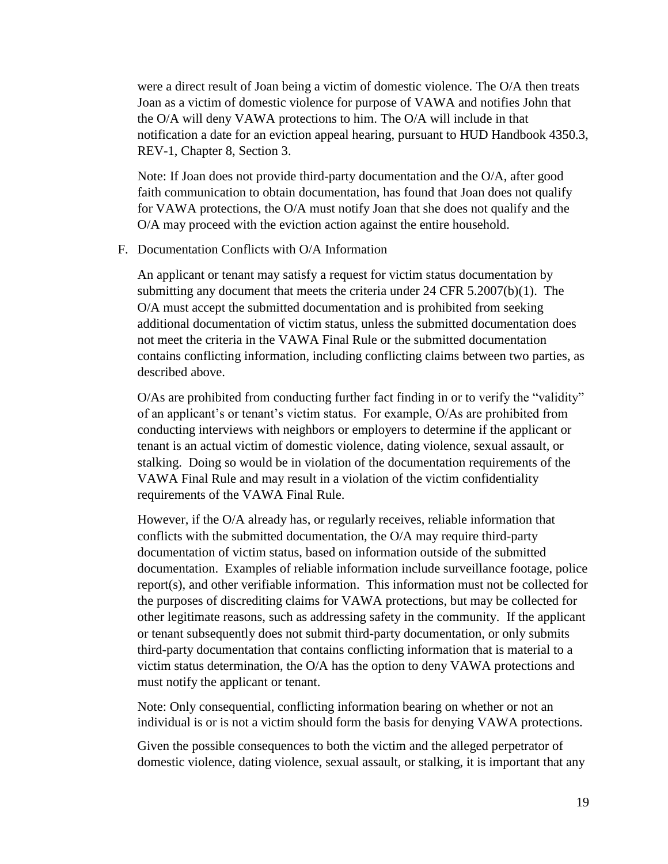were a direct result of Joan being a victim of domestic violence. The O/A then treats Joan as a victim of domestic violence for purpose of VAWA and notifies John that the O/A will deny VAWA protections to him. The O/A will include in that notification a date for an eviction appeal hearing, pursuant to HUD Handbook 4350.3, REV-1, Chapter 8, Section 3.

Note: If Joan does not provide third-party documentation and the O/A, after good faith communication to obtain documentation, has found that Joan does not qualify for VAWA protections, the O/A must notify Joan that she does not qualify and the O/A may proceed with the eviction action against the entire household.

#### F. Documentation Conflicts with O/A Information

An applicant or tenant may satisfy a request for victim status documentation by submitting any document that meets the criteria under 24 CFR 5.2007(b)(1). The O/A must accept the submitted documentation and is prohibited from seeking additional documentation of victim status, unless the submitted documentation does not meet the criteria in the VAWA Final Rule or the submitted documentation contains conflicting information, including conflicting claims between two parties, as described above.

O/As are prohibited from conducting further fact finding in or to verify the "validity" of an applicant's or tenant's victim status. For example, O/As are prohibited from conducting interviews with neighbors or employers to determine if the applicant or tenant is an actual victim of domestic violence, dating violence, sexual assault, or stalking. Doing so would be in violation of the documentation requirements of the VAWA Final Rule and may result in a violation of the victim confidentiality requirements of the VAWA Final Rule.

However, if the O/A already has, or regularly receives, reliable information that conflicts with the submitted documentation, the O/A may require third-party documentation of victim status, based on information outside of the submitted documentation. Examples of reliable information include surveillance footage, police report(s), and other verifiable information. This information must not be collected for the purposes of discrediting claims for VAWA protections, but may be collected for other legitimate reasons, such as addressing safety in the community. If the applicant or tenant subsequently does not submit third-party documentation, or only submits third-party documentation that contains conflicting information that is material to a victim status determination, the O/A has the option to deny VAWA protections and must notify the applicant or tenant.

Note: Only consequential, conflicting information bearing on whether or not an individual is or is not a victim should form the basis for denying VAWA protections.

Given the possible consequences to both the victim and the alleged perpetrator of domestic violence, dating violence, sexual assault, or stalking, it is important that any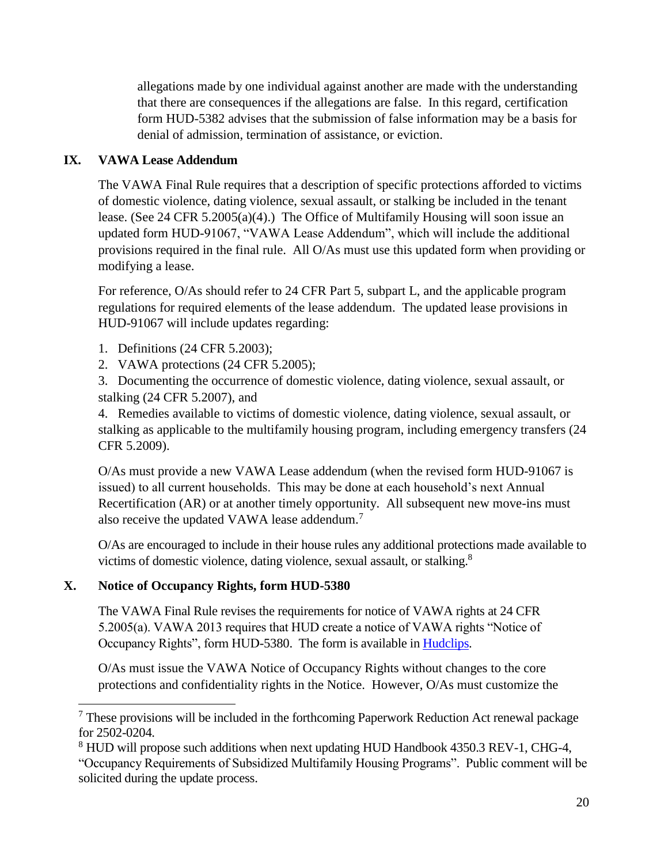allegations made by one individual against another are made with the understanding that there are consequences if the allegations are false. In this regard, certification form HUD-5382 advises that the submission of false information may be a basis for denial of admission, termination of assistance, or eviction.

# **IX. VAWA Lease Addendum**

The VAWA Final Rule requires that a description of specific protections afforded to victims of domestic violence, dating violence, sexual assault, or stalking be included in the tenant lease. (See 24 CFR 5.2005(a)(4).) The Office of Multifamily Housing will soon issue an updated form HUD-91067, "VAWA Lease Addendum", which will include the additional provisions required in the final rule. All O/As must use this updated form when providing or modifying a lease.

For reference, O/As should refer to 24 CFR Part 5, subpart L, and the applicable program regulations for required elements of the lease addendum. The updated lease provisions in HUD-91067 will include updates regarding:

- 1. Definitions (24 CFR 5.2003);
- 2. VAWA protections (24 CFR 5.2005);

3. Documenting the occurrence of domestic violence, dating violence, sexual assault, or stalking (24 CFR 5.2007), and

4. Remedies available to victims of domestic violence, dating violence, sexual assault, or stalking as applicable to the multifamily housing program, including emergency transfers (24 CFR 5.2009).

O/As must provide a new VAWA Lease addendum (when the revised form HUD-91067 is issued) to all current households. This may be done at each household's next Annual Recertification (AR) or at another timely opportunity. All subsequent new move-ins must also receive the updated VAWA lease addendum.<sup>7</sup>

O/As are encouraged to include in their house rules any additional protections made available to victims of domestic violence, dating violence, sexual assault, or stalking.<sup>8</sup>

## **X. Notice of Occupancy Rights, form HUD-5380**

 $\overline{a}$ 

The VAWA Final Rule revises the requirements for notice of VAWA rights at 24 CFR 5.2005(a). VAWA 2013 requires that HUD create a notice of VAWA rights "Notice of Occupancy Rights", form HUD-5380. The form is available in [Hudclips.](https://portal.hud.gov/hudportal/HUD?src=/program_offices/administration/hudclips)

O/As must issue the VAWA Notice of Occupancy Rights without changes to the core protections and confidentiality rights in the Notice. However, O/As must customize the

<sup>7</sup> These provisions will be included in the forthcoming Paperwork Reduction Act renewal package for 2502-0204.

<sup>&</sup>lt;sup>8</sup> HUD will propose such additions when next updating HUD Handbook 4350.3 REV-1, CHG-4,

<sup>&</sup>quot;Occupancy Requirements of Subsidized Multifamily Housing Programs". Public comment will be solicited during the update process.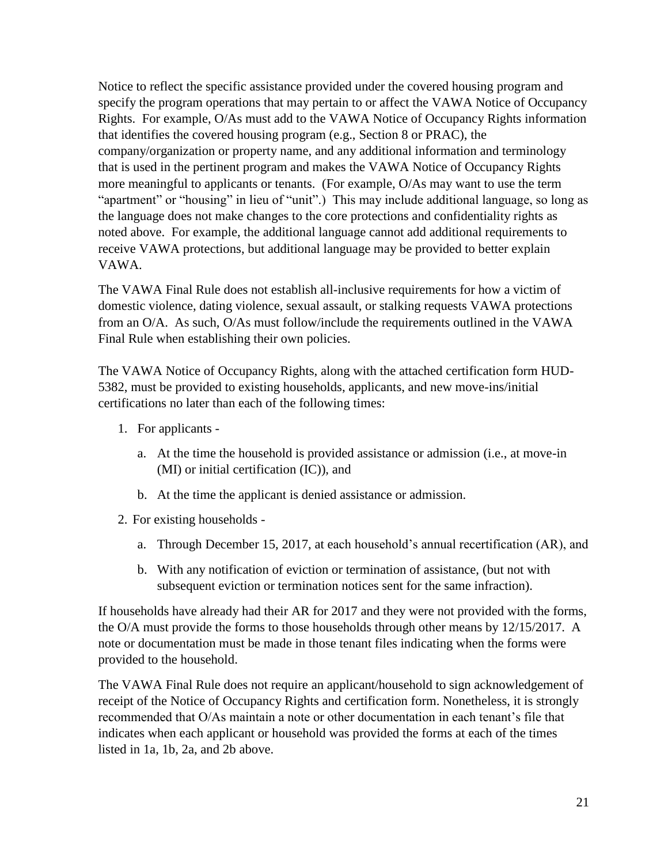Notice to reflect the specific assistance provided under the covered housing program and specify the program operations that may pertain to or affect the VAWA Notice of Occupancy Rights. For example, O/As must add to the VAWA Notice of Occupancy Rights information that identifies the covered housing program (e.g., Section 8 or PRAC), the company/organization or property name, and any additional information and terminology that is used in the pertinent program and makes the VAWA Notice of Occupancy Rights more meaningful to applicants or tenants. (For example, O/As may want to use the term "apartment" or "housing" in lieu of "unit".) This may include additional language, so long as the language does not make changes to the core protections and confidentiality rights as noted above. For example, the additional language cannot add additional requirements to receive VAWA protections, but additional language may be provided to better explain VAWA.

The VAWA Final Rule does not establish all-inclusive requirements for how a victim of domestic violence, dating violence, sexual assault, or stalking requests VAWA protections from an O/A. As such, O/As must follow/include the requirements outlined in the VAWA Final Rule when establishing their own policies.

The VAWA Notice of Occupancy Rights, along with the attached certification form HUD-5382, must be provided to existing households, applicants, and new move-ins/initial certifications no later than each of the following times:

- 1. For applicants
	- a. At the time the household is provided assistance or admission (i.e., at move-in (MI) or initial certification (IC)), and
	- b. At the time the applicant is denied assistance or admission.
- 2. For existing households
	- a. Through December 15, 2017, at each household's annual recertification (AR), and
	- b. With any notification of eviction or termination of assistance, (but not with subsequent eviction or termination notices sent for the same infraction).

If households have already had their AR for 2017 and they were not provided with the forms, the O/A must provide the forms to those households through other means by 12/15/2017. A note or documentation must be made in those tenant files indicating when the forms were provided to the household.

The VAWA Final Rule does not require an applicant/household to sign acknowledgement of receipt of the Notice of Occupancy Rights and certification form. Nonetheless, it is strongly recommended that O/As maintain a note or other documentation in each tenant's file that indicates when each applicant or household was provided the forms at each of the times listed in 1a, 1b, 2a, and 2b above.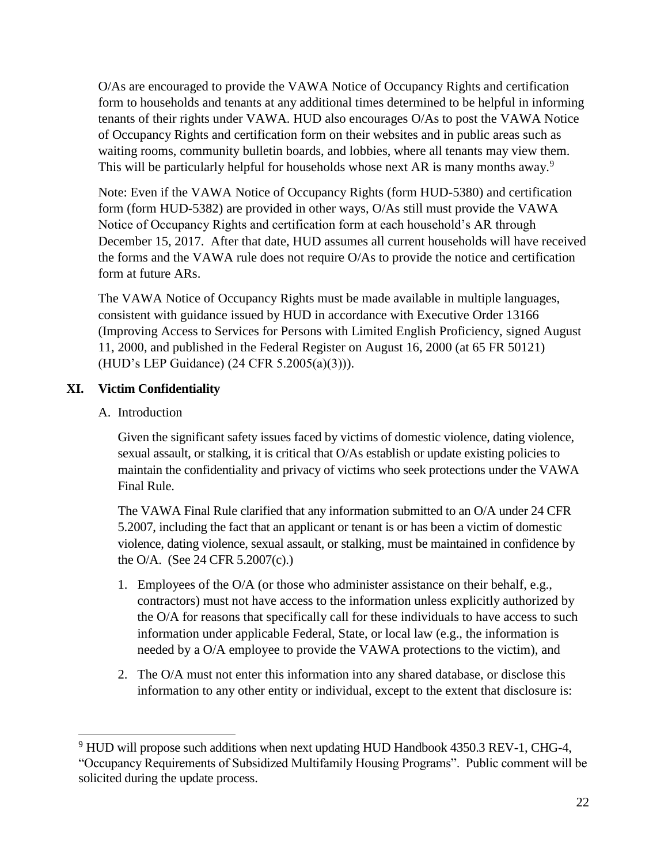O/As are encouraged to provide the VAWA Notice of Occupancy Rights and certification form to households and tenants at any additional times determined to be helpful in informing tenants of their rights under VAWA. HUD also encourages O/As to post the VAWA Notice of Occupancy Rights and certification form on their websites and in public areas such as waiting rooms, community bulletin boards, and lobbies, where all tenants may view them. This will be particularly helpful for households whose next AR is many months away.<sup>9</sup>

Note: Even if the VAWA Notice of Occupancy Rights (form HUD-5380) and certification form (form HUD-5382) are provided in other ways, O/As still must provide the VAWA Notice of Occupancy Rights and certification form at each household's AR through December 15, 2017. After that date, HUD assumes all current households will have received the forms and the VAWA rule does not require O/As to provide the notice and certification form at future ARs.

The VAWA Notice of Occupancy Rights must be made available in multiple languages, consistent with guidance issued by HUD in accordance with Executive Order 13166 (Improving Access to Services for Persons with Limited English Proficiency, signed August 11, 2000, and published in the Federal Register on August 16, 2000 (at 65 FR 50121) (HUD's LEP Guidance) (24 CFR 5.2005(a)(3))).

## **XI. Victim Confidentiality**

#### A. Introduction

 $\overline{a}$ 

Given the significant safety issues faced by victims of domestic violence, dating violence, sexual assault, or stalking, it is critical that O/As establish or update existing policies to maintain the confidentiality and privacy of victims who seek protections under the VAWA Final Rule.

The VAWA Final Rule clarified that any information submitted to an O/A under 24 CFR 5.2007, including the fact that an applicant or tenant is or has been a victim of domestic violence, dating violence, sexual assault, or stalking, must be maintained in confidence by the O/A. (See 24 CFR 5.2007(c).)

- 1. Employees of the O/A (or those who administer assistance on their behalf, e.g., contractors) must not have access to the information unless explicitly authorized by the O/A for reasons that specifically call for these individuals to have access to such information under applicable Federal, State, or local law (e.g., the information is needed by a O/A employee to provide the VAWA protections to the victim), and
- 2. The O/A must not enter this information into any shared database, or disclose this information to any other entity or individual, except to the extent that disclosure is:

 $9$  HUD will propose such additions when next updating HUD Handbook 4350.3 REV-1, CHG-4, "Occupancy Requirements of Subsidized Multifamily Housing Programs". Public comment will be solicited during the update process.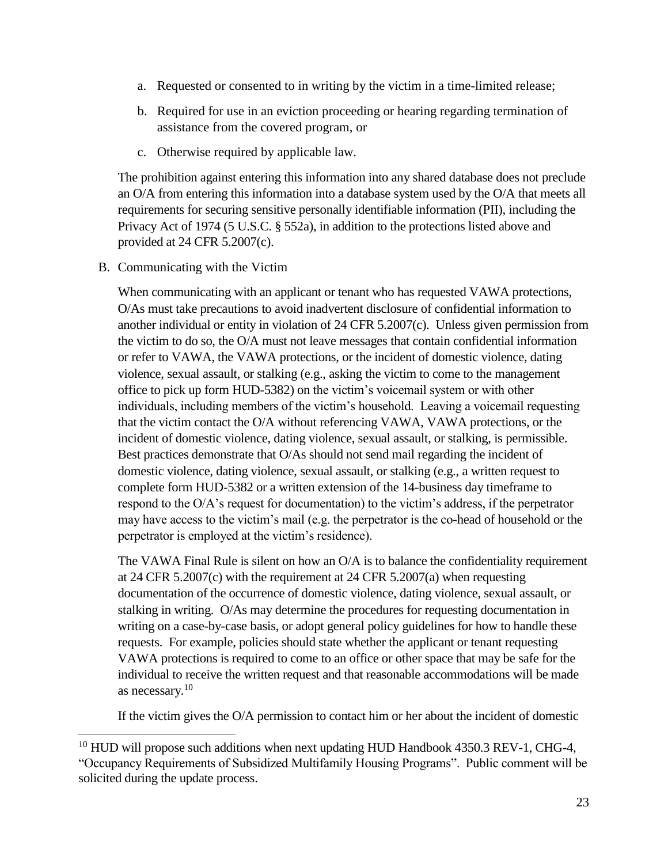- a. Requested or consented to in writing by the victim in a time-limited release;
- b. Required for use in an eviction proceeding or hearing regarding termination of assistance from the covered program, or
- c. Otherwise required by applicable law.

The prohibition against entering this information into any shared database does not preclude an O/A from entering this information into a database system used by the O/A that meets all requirements for securing sensitive personally identifiable information (PII), including the Privacy Act of 1974 (5 U.S.C. § 552a), in addition to the protections listed above and provided at 24 CFR 5.2007(c).

B. Communicating with the Victim

 $\overline{a}$ 

When communicating with an applicant or tenant who has requested VAWA protections, O/As must take precautions to avoid inadvertent disclosure of confidential information to another individual or entity in violation of 24 CFR 5.2007(c). Unless given permission from the victim to do so, the O/A must not leave messages that contain confidential information or refer to VAWA, the VAWA protections, or the incident of domestic violence, dating violence, sexual assault, or stalking (e.g., asking the victim to come to the management office to pick up form HUD-5382) on the victim's voicemail system or with other individuals, including members of the victim's household. Leaving a voicemail requesting that the victim contact the O/A without referencing VAWA, VAWA protections, or the incident of domestic violence, dating violence, sexual assault, or stalking, is permissible. Best practices demonstrate that O/As should not send mail regarding the incident of domestic violence, dating violence, sexual assault, or stalking (e.g., a written request to complete form HUD-5382 or a written extension of the 14-business day timeframe to respond to the O/A's request for documentation) to the victim's address, if the perpetrator may have access to the victim's mail (e.g. the perpetrator is the co-head of household or the perpetrator is employed at the victim's residence).

The VAWA Final Rule is silent on how an O/A is to balance the confidentiality requirement at 24 CFR 5.2007(c) with the requirement at 24 CFR 5.2007(a) when requesting documentation of the occurrence of domestic violence, dating violence, sexual assault, or stalking in writing. O/As may determine the procedures for requesting documentation in writing on a case-by-case basis, or adopt general policy guidelines for how to handle these requests. For example, policies should state whether the applicant or tenant requesting VAWA protections is required to come to an office or other space that may be safe for the individual to receive the written request and that reasonable accommodations will be made as necessary.<sup>10</sup>

If the victim gives the O/A permission to contact him or her about the incident of domestic

 $10$  HUD will propose such additions when next updating HUD Handbook 4350.3 REV-1, CHG-4, "Occupancy Requirements of Subsidized Multifamily Housing Programs". Public comment will be solicited during the update process.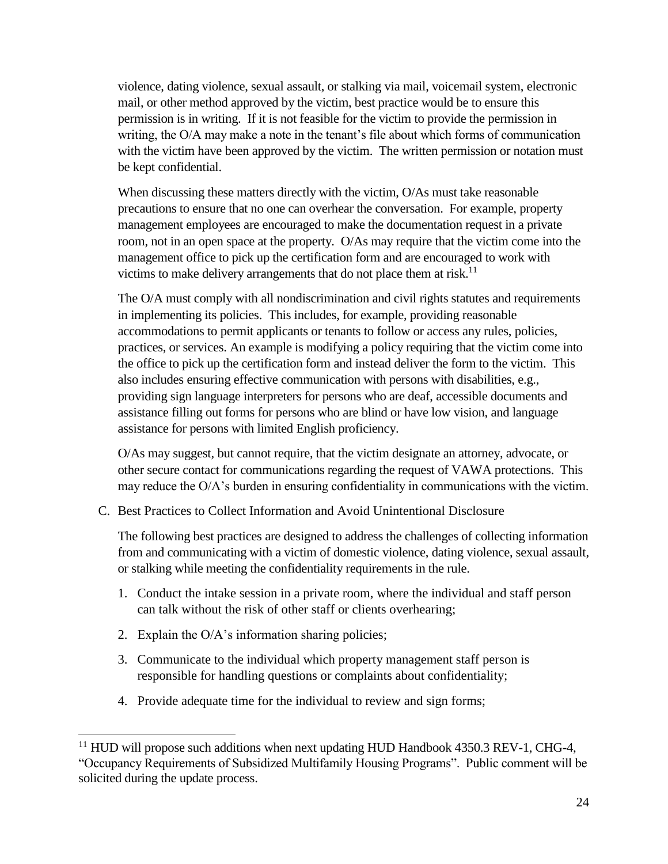violence, dating violence, sexual assault, or stalking via mail, voicemail system, electronic mail, or other method approved by the victim, best practice would be to ensure this permission is in writing. If it is not feasible for the victim to provide the permission in writing, the O/A may make a note in the tenant's file about which forms of communication with the victim have been approved by the victim. The written permission or notation must be kept confidential.

When discussing these matters directly with the victim, O/As must take reasonable precautions to ensure that no one can overhear the conversation. For example, property management employees are encouraged to make the documentation request in a private room, not in an open space at the property. O/As may require that the victim come into the management office to pick up the certification form and are encouraged to work with victims to make delivery arrangements that do not place them at risk.<sup>11</sup>

The O/A must comply with all nondiscrimination and civil rights statutes and requirements in implementing its policies. This includes, for example, providing reasonable accommodations to permit applicants or tenants to follow or access any rules, policies, practices, or services. An example is modifying a policy requiring that the victim come into the office to pick up the certification form and instead deliver the form to the victim. This also includes ensuring effective communication with persons with disabilities, e.g., providing sign language interpreters for persons who are deaf, accessible documents and assistance filling out forms for persons who are blind or have low vision, and language assistance for persons with limited English proficiency.

O/As may suggest, but cannot require, that the victim designate an attorney, advocate, or other secure contact for communications regarding the request of VAWA protections. This may reduce the O/A's burden in ensuring confidentiality in communications with the victim.

C. Best Practices to Collect Information and Avoid Unintentional Disclosure

The following best practices are designed to address the challenges of collecting information from and communicating with a victim of domestic violence, dating violence, sexual assault, or stalking while meeting the confidentiality requirements in the rule.

- 1. Conduct the intake session in a private room, where the individual and staff person can talk without the risk of other staff or clients overhearing;
- 2. Explain the O/A's information sharing policies;

 $\overline{a}$ 

- 3. Communicate to the individual which property management staff person is responsible for handling questions or complaints about confidentiality;
- 4. Provide adequate time for the individual to review and sign forms;

 $11$  HUD will propose such additions when next updating HUD Handbook 4350.3 REV-1, CHG-4, "Occupancy Requirements of Subsidized Multifamily Housing Programs". Public comment will be solicited during the update process.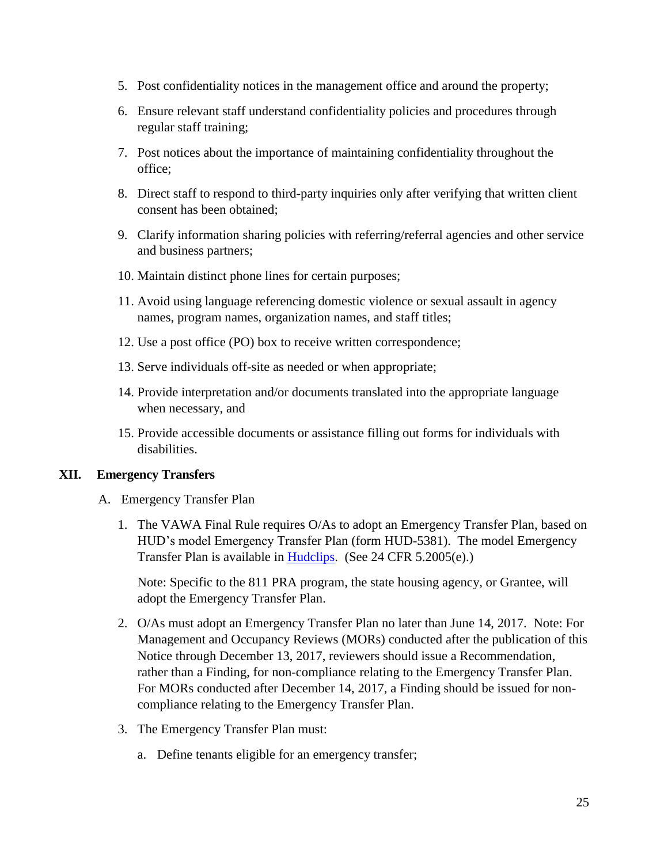- 5. Post confidentiality notices in the management office and around the property;
- 6. Ensure relevant staff understand confidentiality policies and procedures through regular staff training;
- 7. Post notices about the importance of maintaining confidentiality throughout the office;
- 8. Direct staff to respond to third-party inquiries only after verifying that written client consent has been obtained;
- 9. Clarify information sharing policies with referring/referral agencies and other service and business partners;
- 10. Maintain distinct phone lines for certain purposes;
- 11. Avoid using language referencing domestic violence or sexual assault in agency names, program names, organization names, and staff titles;
- 12. Use a post office (PO) box to receive written correspondence;
- 13. Serve individuals off-site as needed or when appropriate;
- 14. Provide interpretation and/or documents translated into the appropriate language when necessary, and
- 15. Provide accessible documents or assistance filling out forms for individuals with disabilities.

#### **XII. Emergency Transfers**

- A. Emergency Transfer Plan
	- 1. The VAWA Final Rule requires O/As to adopt an Emergency Transfer Plan, based on HUD's model Emergency Transfer Plan (form HUD-5381). The model Emergency Transfer Plan is available in [Hudclips.](https://portal.hud.gov/hudportal/HUD?src=/program_offices/administration/hudclips) (See 24 CFR 5.2005(e).)

Note: Specific to the 811 PRA program, the state housing agency, or Grantee, will adopt the Emergency Transfer Plan.

- 2. O/As must adopt an Emergency Transfer Plan no later than June 14, 2017. Note: For Management and Occupancy Reviews (MORs) conducted after the publication of this Notice through December 13, 2017, reviewers should issue a Recommendation, rather than a Finding, for non-compliance relating to the Emergency Transfer Plan. For MORs conducted after December 14, 2017, a Finding should be issued for noncompliance relating to the Emergency Transfer Plan.
- 3. The Emergency Transfer Plan must:
	- a. Define tenants eligible for an emergency transfer;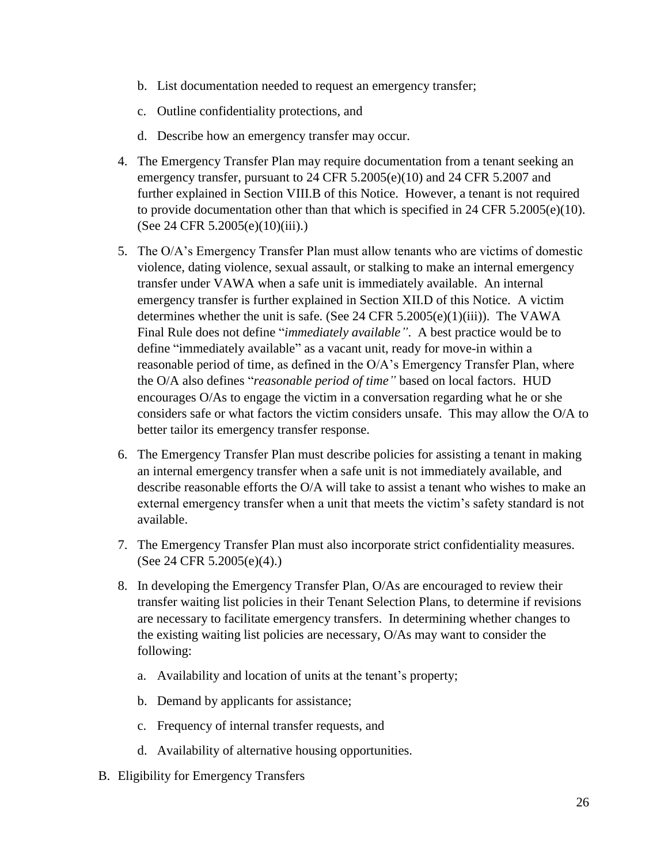- b. List documentation needed to request an emergency transfer;
- c. Outline confidentiality protections, and
- d. Describe how an emergency transfer may occur.
- 4. The Emergency Transfer Plan may require documentation from a tenant seeking an emergency transfer, pursuant to 24 CFR 5.2005(e)(10) and 24 CFR 5.2007 and further explained in Section VIII.B of this Notice. However, a tenant is not required to provide documentation other than that which is specified in 24 CFR 5.2005(e)(10). (See 24 CFR 5.2005(e)(10)(iii).)
- 5. The O/A's Emergency Transfer Plan must allow tenants who are victims of domestic violence, dating violence, sexual assault, or stalking to make an internal emergency transfer under VAWA when a safe unit is immediately available. An internal emergency transfer is further explained in Section XII.D of this Notice. A victim determines whether the unit is safe. (See 24 CFR 5.2005(e)(1)(iii)). The VAWA Final Rule does not define "*immediately available"*. A best practice would be to define "immediately available" as a vacant unit, ready for move-in within a reasonable period of time, as defined in the  $O/A$ 's Emergency Transfer Plan, where the O/A also defines "*reasonable period of time"* based on local factors. HUD encourages O/As to engage the victim in a conversation regarding what he or she considers safe or what factors the victim considers unsafe. This may allow the O/A to better tailor its emergency transfer response.
- 6. The Emergency Transfer Plan must describe policies for assisting a tenant in making an internal emergency transfer when a safe unit is not immediately available, and describe reasonable efforts the O/A will take to assist a tenant who wishes to make an external emergency transfer when a unit that meets the victim's safety standard is not available.
- 7. The Emergency Transfer Plan must also incorporate strict confidentiality measures. (See 24 CFR 5.2005(e)(4).)
- 8. In developing the Emergency Transfer Plan, O/As are encouraged to review their transfer waiting list policies in their Tenant Selection Plans, to determine if revisions are necessary to facilitate emergency transfers. In determining whether changes to the existing waiting list policies are necessary, O/As may want to consider the following:
	- a. Availability and location of units at the tenant's property;
	- b. Demand by applicants for assistance;
	- c. Frequency of internal transfer requests, and
	- d. Availability of alternative housing opportunities.
- B. Eligibility for Emergency Transfers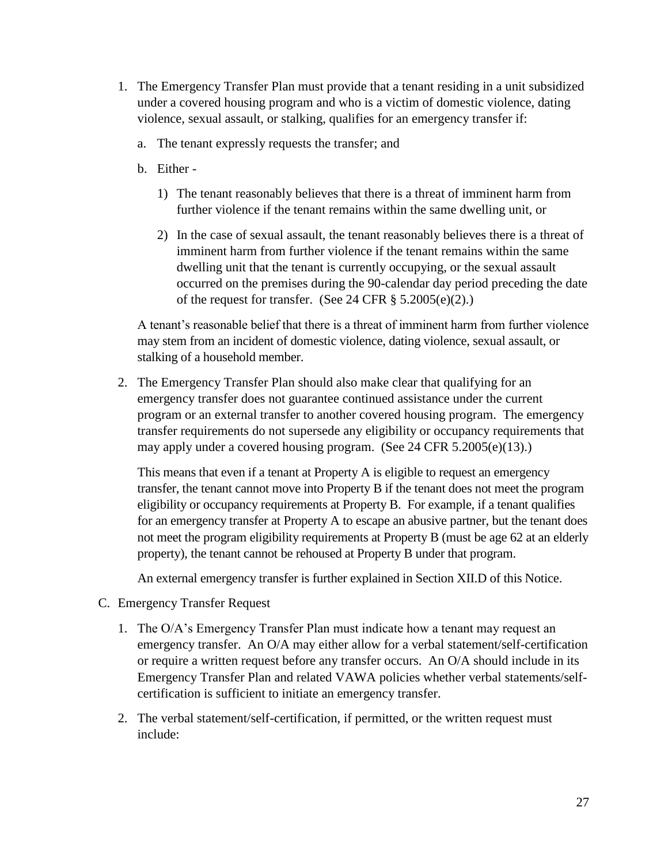- 1. The Emergency Transfer Plan must provide that a tenant residing in a unit subsidized under a covered housing program and who is a victim of domestic violence, dating violence, sexual assault, or stalking, qualifies for an emergency transfer if:
	- a. The tenant expressly requests the transfer; and
	- b. Either
		- 1) The tenant reasonably believes that there is a threat of imminent harm from further violence if the tenant remains within the same dwelling unit, or
		- 2) In the case of sexual assault, the tenant reasonably believes there is a threat of imminent harm from further violence if the tenant remains within the same dwelling unit that the tenant is currently occupying, or the sexual assault occurred on the premises during the 90-calendar day period preceding the date of the request for transfer. (See 24 CFR § 5.2005(e)(2).)

A tenant's reasonable belief that there is a threat of imminent harm from further violence may stem from an incident of domestic violence, dating violence, sexual assault, or stalking of a household member.

2. The Emergency Transfer Plan should also make clear that qualifying for an emergency transfer does not guarantee continued assistance under the current program or an external transfer to another covered housing program. The emergency transfer requirements do not supersede any eligibility or occupancy requirements that may apply under a covered housing program. (See 24 CFR 5.2005(e)(13).)

This means that even if a tenant at Property A is eligible to request an emergency transfer, the tenant cannot move into Property B if the tenant does not meet the program eligibility or occupancy requirements at Property B. For example, if a tenant qualifies for an emergency transfer at Property A to escape an abusive partner, but the tenant does not meet the program eligibility requirements at Property B (must be age 62 at an elderly property), the tenant cannot be rehoused at Property B under that program.

An external emergency transfer is further explained in Section XII.D of this Notice.

- C. Emergency Transfer Request
	- 1. The O/A's Emergency Transfer Plan must indicate how a tenant may request an emergency transfer. An O/A may either allow for a verbal statement/self-certification or require a written request before any transfer occurs. An O/A should include in its Emergency Transfer Plan and related VAWA policies whether verbal statements/selfcertification is sufficient to initiate an emergency transfer.
	- 2. The verbal statement/self-certification, if permitted, or the written request must include: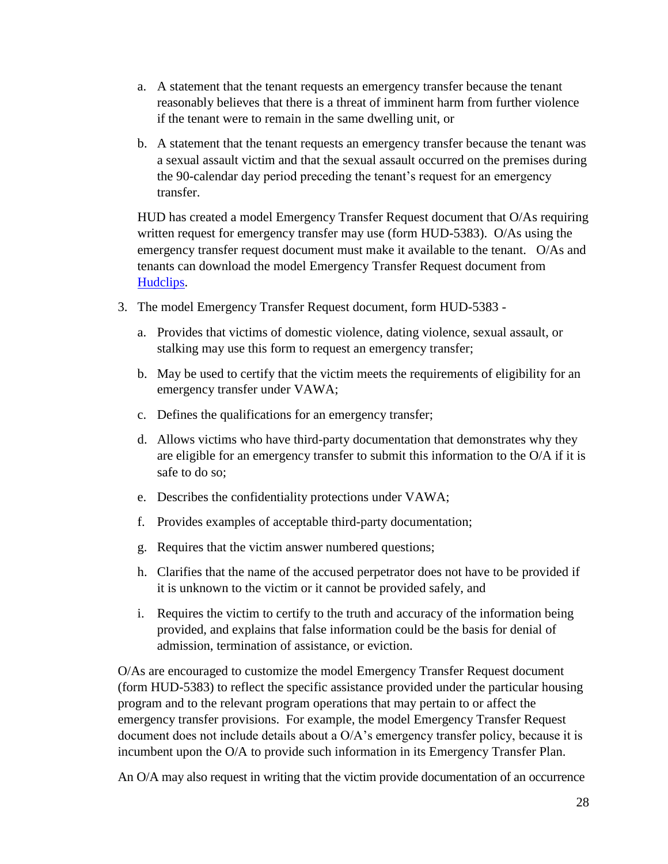- a. A statement that the tenant requests an emergency transfer because the tenant reasonably believes that there is a threat of imminent harm from further violence if the tenant were to remain in the same dwelling unit, or
- b. A statement that the tenant requests an emergency transfer because the tenant was a sexual assault victim and that the sexual assault occurred on the premises during the 90-calendar day period preceding the tenant's request for an emergency transfer.

HUD has created a model Emergency Transfer Request document that O/As requiring written request for emergency transfer may use (form HUD-5383). O/As using the emergency transfer request document must make it available to the tenant. O/As and tenants can download the model Emergency Transfer Request document from [Hudclips.](https://portal.hud.gov/hudportal/HUD?src=/program_offices/administration/hudclips)

- 3. The model Emergency Transfer Request document, form HUD-5383
	- a. Provides that victims of domestic violence, dating violence, sexual assault, or stalking may use this form to request an emergency transfer;
	- b. May be used to certify that the victim meets the requirements of eligibility for an emergency transfer under VAWA;
	- c. Defines the qualifications for an emergency transfer;
	- d. Allows victims who have third-party documentation that demonstrates why they are eligible for an emergency transfer to submit this information to the O/A if it is safe to do so;
	- e. Describes the confidentiality protections under VAWA;
	- f. Provides examples of acceptable third-party documentation;
	- g. Requires that the victim answer numbered questions;
	- h. Clarifies that the name of the accused perpetrator does not have to be provided if it is unknown to the victim or it cannot be provided safely, and
	- i. Requires the victim to certify to the truth and accuracy of the information being provided, and explains that false information could be the basis for denial of admission, termination of assistance, or eviction.

O/As are encouraged to customize the model Emergency Transfer Request document (form HUD-5383) to reflect the specific assistance provided under the particular housing program and to the relevant program operations that may pertain to or affect the emergency transfer provisions. For example, the model Emergency Transfer Request document does not include details about a O/A's emergency transfer policy, because it is incumbent upon the O/A to provide such information in its Emergency Transfer Plan.

An O/A may also request in writing that the victim provide documentation of an occurrence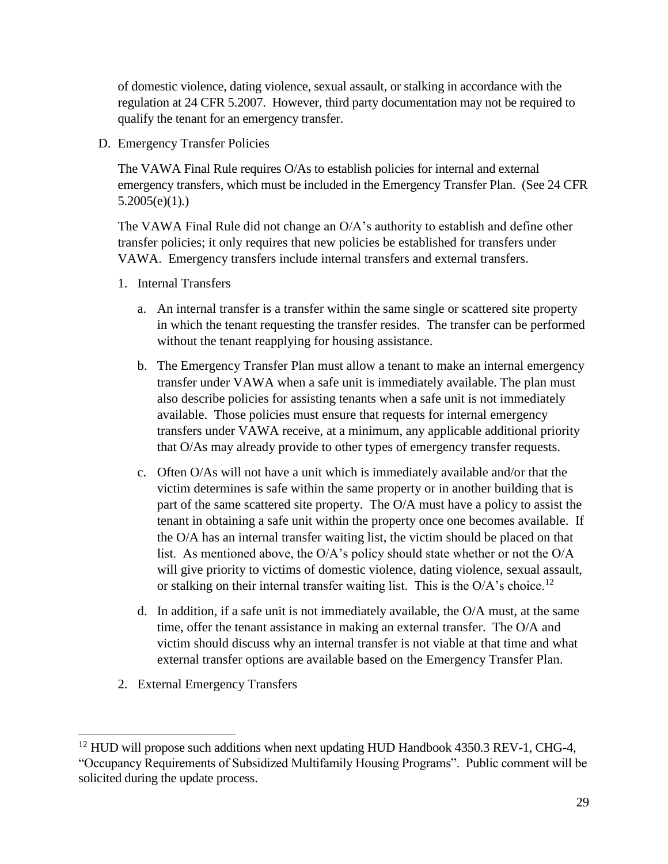of domestic violence, dating violence, sexual assault, or stalking in accordance with the regulation at 24 CFR 5.2007. However, third party documentation may not be required to qualify the tenant for an emergency transfer.

D. Emergency Transfer Policies

The VAWA Final Rule requires O/As to establish policies for internal and external emergency transfers, which must be included in the Emergency Transfer Plan. (See 24 CFR  $5.2005(e)(1)$ .)

The VAWA Final Rule did not change an O/A's authority to establish and define other transfer policies; it only requires that new policies be established for transfers under VAWA. Emergency transfers include internal transfers and external transfers.

- 1. Internal Transfers
	- a. An internal transfer is a transfer within the same single or scattered site property in which the tenant requesting the transfer resides. The transfer can be performed without the tenant reapplying for housing assistance.
	- b. The Emergency Transfer Plan must allow a tenant to make an internal emergency transfer under VAWA when a safe unit is immediately available. The plan must also describe policies for assisting tenants when a safe unit is not immediately available. Those policies must ensure that requests for internal emergency transfers under VAWA receive, at a minimum, any applicable additional priority that O/As may already provide to other types of emergency transfer requests.
	- c. Often O/As will not have a unit which is immediately available and/or that the victim determines is safe within the same property or in another building that is part of the same scattered site property. The O/A must have a policy to assist the tenant in obtaining a safe unit within the property once one becomes available. If the O/A has an internal transfer waiting list, the victim should be placed on that list. As mentioned above, the O/A's policy should state whether or not the O/A will give priority to victims of domestic violence, dating violence, sexual assault, or stalking on their internal transfer waiting list. This is the O/A's choice.<sup>12</sup>
	- d. In addition, if a safe unit is not immediately available, the O/A must, at the same time, offer the tenant assistance in making an external transfer. The O/A and victim should discuss why an internal transfer is not viable at that time and what external transfer options are available based on the Emergency Transfer Plan.
- 2. External Emergency Transfers

 $\overline{a}$ 

<sup>&</sup>lt;sup>12</sup> HUD will propose such additions when next updating HUD Handbook 4350.3 REV-1, CHG-4, "Occupancy Requirements of Subsidized Multifamily Housing Programs". Public comment will be solicited during the update process.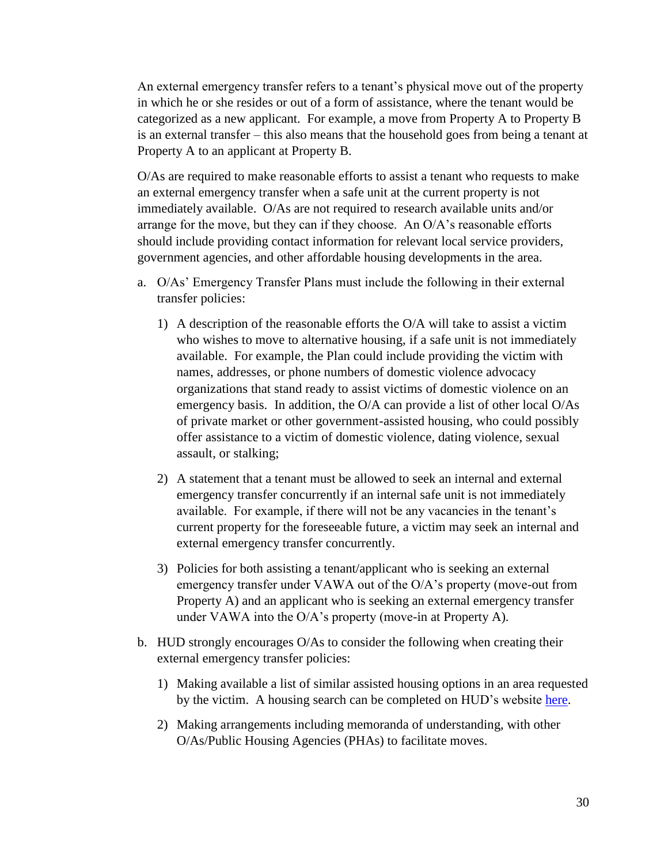An external emergency transfer refers to a tenant's physical move out of the property in which he or she resides or out of a form of assistance, where the tenant would be categorized as a new applicant. For example, a move from Property A to Property B is an external transfer – this also means that the household goes from being a tenant at Property A to an applicant at Property B.

O/As are required to make reasonable efforts to assist a tenant who requests to make an external emergency transfer when a safe unit at the current property is not immediately available. O/As are not required to research available units and/or arrange for the move, but they can if they choose. An O/A's reasonable efforts should include providing contact information for relevant local service providers, government agencies, and other affordable housing developments in the area.

- a. O/As' Emergency Transfer Plans must include the following in their external transfer policies:
	- 1) A description of the reasonable efforts the O/A will take to assist a victim who wishes to move to alternative housing, if a safe unit is not immediately available. For example, the Plan could include providing the victim with names, addresses, or phone numbers of domestic violence advocacy organizations that stand ready to assist victims of domestic violence on an emergency basis. In addition, the O/A can provide a list of other local O/As of private market or other government-assisted housing, who could possibly offer assistance to a victim of domestic violence, dating violence, sexual assault, or stalking;
	- 2) A statement that a tenant must be allowed to seek an internal and external emergency transfer concurrently if an internal safe unit is not immediately available. For example, if there will not be any vacancies in the tenant's current property for the foreseeable future, a victim may seek an internal and external emergency transfer concurrently.
	- 3) Policies for both assisting a tenant/applicant who is seeking an external emergency transfer under VAWA out of the O/A's property (move-out from Property A) and an applicant who is seeking an external emergency transfer under VAWA into the O/A's property (move-in at Property A).
- b. HUD strongly encourages O/As to consider the following when creating their external emergency transfer policies:
	- 1) Making available a list of similar assisted housing options in an area requested by the victim. A housing search can be completed on HUD's website [here.](https://www.hud.gov/apps/section8/index.cfm)
	- 2) Making arrangements including memoranda of understanding, with other O/As/Public Housing Agencies (PHAs) to facilitate moves.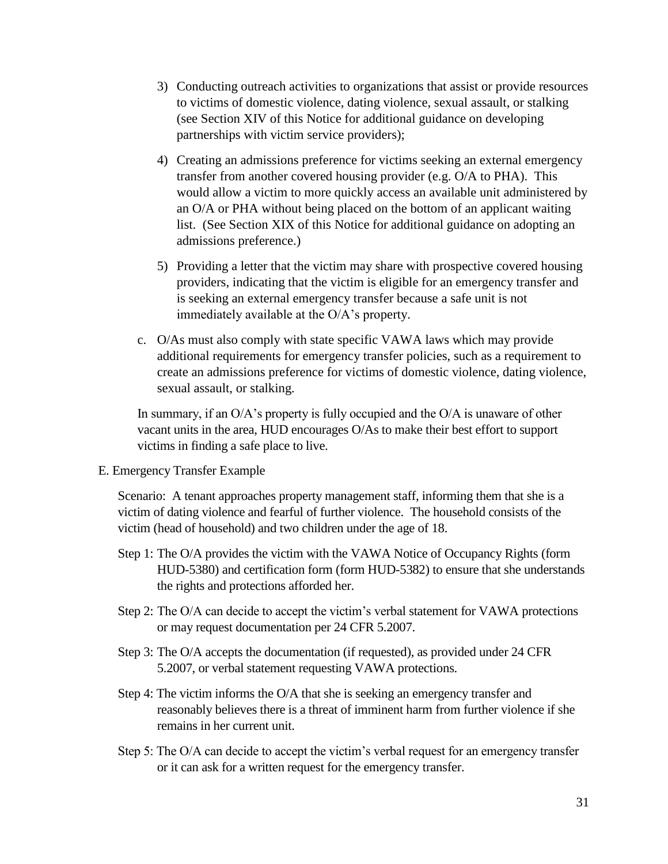- 3) Conducting outreach activities to organizations that assist or provide resources to victims of domestic violence, dating violence, sexual assault, or stalking (see Section XIV of this Notice for additional guidance on developing partnerships with victim service providers);
- 4) Creating an admissions preference for victims seeking an external emergency transfer from another covered housing provider (e.g. O/A to PHA). This would allow a victim to more quickly access an available unit administered by an O/A or PHA without being placed on the bottom of an applicant waiting list. (See Section XIX of this Notice for additional guidance on adopting an admissions preference.)
- 5) Providing a letter that the victim may share with prospective covered housing providers, indicating that the victim is eligible for an emergency transfer and is seeking an external emergency transfer because a safe unit is not immediately available at the O/A's property.
- c. O/As must also comply with state specific VAWA laws which may provide additional requirements for emergency transfer policies, such as a requirement to create an admissions preference for victims of domestic violence, dating violence, sexual assault, or stalking.

In summary, if an O/A's property is fully occupied and the O/A is unaware of other vacant units in the area, HUD encourages O/As to make their best effort to support victims in finding a safe place to live.

E. Emergency Transfer Example

Scenario: A tenant approaches property management staff, informing them that she is a victim of dating violence and fearful of further violence. The household consists of the victim (head of household) and two children under the age of 18.

- Step 1: The O/A provides the victim with the VAWA Notice of Occupancy Rights (form HUD-5380) and certification form (form HUD-5382) to ensure that she understands the rights and protections afforded her.
- Step 2: The O/A can decide to accept the victim's verbal statement for VAWA protections or may request documentation per 24 CFR 5.2007.
- Step 3: The O/A accepts the documentation (if requested), as provided under 24 CFR 5.2007, or verbal statement requesting VAWA protections.
- Step 4: The victim informs the O/A that she is seeking an emergency transfer and reasonably believes there is a threat of imminent harm from further violence if she remains in her current unit.
- Step 5: The O/A can decide to accept the victim's verbal request for an emergency transfer or it can ask for a written request for the emergency transfer.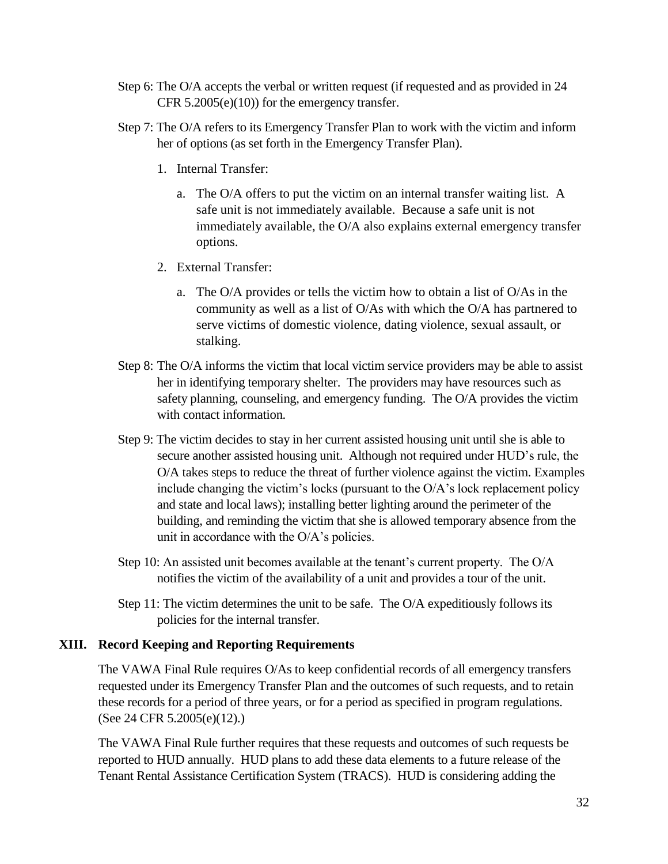- Step 6: The O/A accepts the verbal or written request (if requested and as provided in 24 CFR 5.2005(e)(10)) for the emergency transfer.
- Step 7: The O/A refers to its Emergency Transfer Plan to work with the victim and inform her of options (as set forth in the Emergency Transfer Plan).
	- 1. Internal Transfer:
		- a. The O/A offers to put the victim on an internal transfer waiting list. A safe unit is not immediately available. Because a safe unit is not immediately available, the O/A also explains external emergency transfer options.
	- 2. External Transfer:
		- a. The O/A provides or tells the victim how to obtain a list of O/As in the community as well as a list of O/As with which the O/A has partnered to serve victims of domestic violence, dating violence, sexual assault, or stalking.
- Step 8: The O/A informs the victim that local victim service providers may be able to assist her in identifying temporary shelter. The providers may have resources such as safety planning, counseling, and emergency funding. The O/A provides the victim with contact information.
- Step 9: The victim decides to stay in her current assisted housing unit until she is able to secure another assisted housing unit. Although not required under HUD's rule, the O/A takes steps to reduce the threat of further violence against the victim. Examples include changing the victim's locks (pursuant to the O/A's lock replacement policy and state and local laws); installing better lighting around the perimeter of the building, and reminding the victim that she is allowed temporary absence from the unit in accordance with the O/A's policies.
- Step 10: An assisted unit becomes available at the tenant's current property. The O/A notifies the victim of the availability of a unit and provides a tour of the unit.
- Step 11: The victim determines the unit to be safe. The O/A expeditiously follows its policies for the internal transfer.

#### **XIII. Record Keeping and Reporting Requirements**

The VAWA Final Rule requires O/As to keep confidential records of all emergency transfers requested under its Emergency Transfer Plan and the outcomes of such requests, and to retain these records for a period of three years, or for a period as specified in program regulations. (See 24 CFR 5.2005(e)(12).)

The VAWA Final Rule further requires that these requests and outcomes of such requests be reported to HUD annually. HUD plans to add these data elements to a future release of the Tenant Rental Assistance Certification System (TRACS). HUD is considering adding the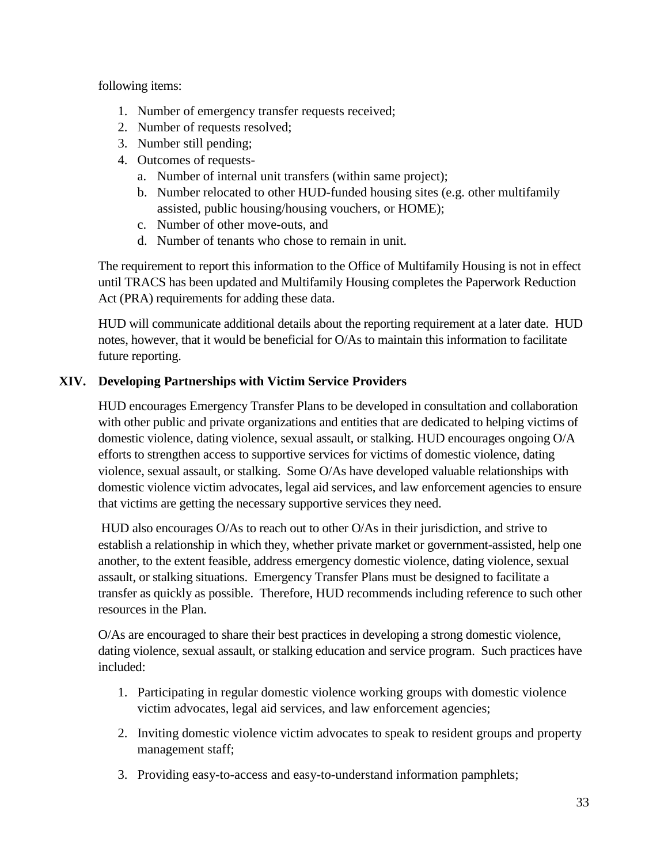following items:

- 1. Number of emergency transfer requests received;
- 2. Number of requests resolved;
- 3. Number still pending;
- 4. Outcomes of requests
	- a. Number of internal unit transfers (within same project);
	- b. Number relocated to other HUD-funded housing sites (e.g. other multifamily assisted, public housing/housing vouchers, or HOME);
	- c. Number of other move-outs, and
	- d. Number of tenants who chose to remain in unit.

The requirement to report this information to the Office of Multifamily Housing is not in effect until TRACS has been updated and Multifamily Housing completes the Paperwork Reduction Act (PRA) requirements for adding these data.

HUD will communicate additional details about the reporting requirement at a later date. HUD notes, however, that it would be beneficial for O/As to maintain this information to facilitate future reporting.

## **XIV. Developing Partnerships with Victim Service Providers**

HUD encourages Emergency Transfer Plans to be developed in consultation and collaboration with other public and private organizations and entities that are dedicated to helping victims of domestic violence, dating violence, sexual assault, or stalking. HUD encourages ongoing O/A efforts to strengthen access to supportive services for victims of domestic violence, dating violence, sexual assault, or stalking. Some O/As have developed valuable relationships with domestic violence victim advocates, legal aid services, and law enforcement agencies to ensure that victims are getting the necessary supportive services they need.

HUD also encourages O/As to reach out to other O/As in their jurisdiction, and strive to establish a relationship in which they, whether private market or government-assisted, help one another, to the extent feasible, address emergency domestic violence, dating violence, sexual assault, or stalking situations. Emergency Transfer Plans must be designed to facilitate a transfer as quickly as possible. Therefore, HUD recommends including reference to such other resources in the Plan.

O/As are encouraged to share their best practices in developing a strong domestic violence, dating violence, sexual assault, or stalking education and service program. Such practices have included:

- 1. Participating in regular domestic violence working groups with domestic violence victim advocates, legal aid services, and law enforcement agencies;
- 2. Inviting domestic violence victim advocates to speak to resident groups and property management staff;
- 3. Providing easy-to-access and easy-to-understand information pamphlets;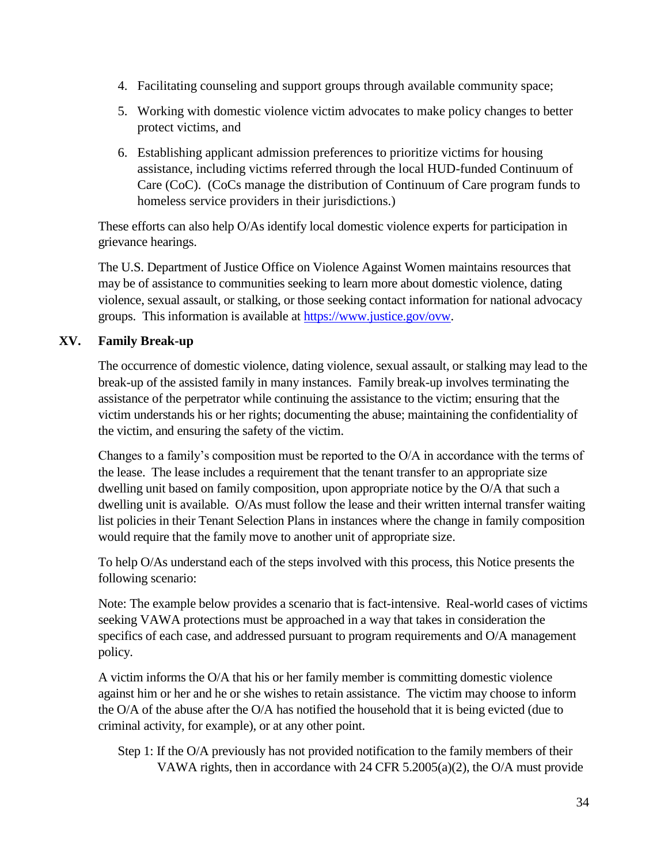- 4. Facilitating counseling and support groups through available community space;
- 5. Working with domestic violence victim advocates to make policy changes to better protect victims, and
- 6. Establishing applicant admission preferences to prioritize victims for housing assistance, including victims referred through the local HUD-funded Continuum of Care (CoC). (CoCs manage the distribution of Continuum of Care program funds to homeless service providers in their jurisdictions.)

These efforts can also help O/As identify local domestic violence experts for participation in grievance hearings.

The U.S. Department of Justice Office on Violence Against Women maintains resources that may be of assistance to communities seeking to learn more about domestic violence, dating violence, sexual assault, or stalking, or those seeking contact information for national advocacy groups. This information is available at [https://www.justice.gov/ovw.](https://www.justice.gov/ovw)

## **XV. Family Break-up**

The occurrence of domestic violence, dating violence, sexual assault, or stalking may lead to the break-up of the assisted family in many instances. Family break-up involves terminating the assistance of the perpetrator while continuing the assistance to the victim; ensuring that the victim understands his or her rights; documenting the abuse; maintaining the confidentiality of the victim, and ensuring the safety of the victim.

Changes to a family's composition must be reported to the O/A in accordance with the terms of the lease. The lease includes a requirement that the tenant transfer to an appropriate size dwelling unit based on family composition, upon appropriate notice by the O/A that such a dwelling unit is available. O/As must follow the lease and their written internal transfer waiting list policies in their Tenant Selection Plans in instances where the change in family composition would require that the family move to another unit of appropriate size.

To help O/As understand each of the steps involved with this process, this Notice presents the following scenario:

Note: The example below provides a scenario that is fact-intensive. Real-world cases of victims seeking VAWA protections must be approached in a way that takes in consideration the specifics of each case, and addressed pursuant to program requirements and O/A management policy.

A victim informs the O/A that his or her family member is committing domestic violence against him or her and he or she wishes to retain assistance. The victim may choose to inform the O/A of the abuse after the O/A has notified the household that it is being evicted (due to criminal activity, for example), or at any other point.

Step 1: If the O/A previously has not provided notification to the family members of their VAWA rights, then in accordance with 24 CFR 5.2005(a)(2), the O/A must provide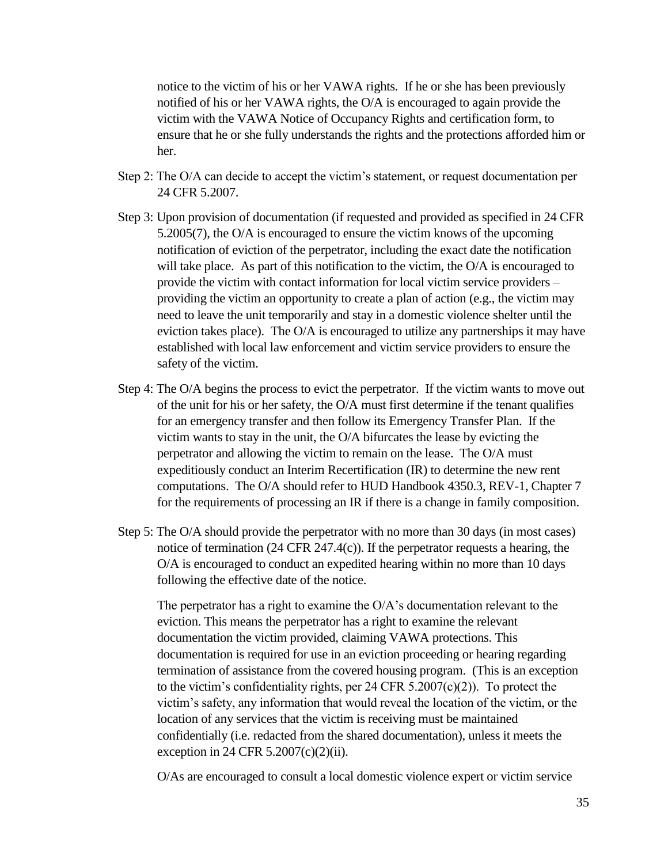notice to the victim of his or her VAWA rights. If he or she has been previously notified of his or her VAWA rights, the O/A is encouraged to again provide the victim with the VAWA Notice of Occupancy Rights and certification form, to ensure that he or she fully understands the rights and the protections afforded him or her.

- Step 2: The O/A can decide to accept the victim's statement, or request documentation per 24 CFR 5.2007.
- Step 3: Upon provision of documentation (if requested and provided as specified in 24 CFR 5.2005(7), the O/A is encouraged to ensure the victim knows of the upcoming notification of eviction of the perpetrator, including the exact date the notification will take place. As part of this notification to the victim, the O/A is encouraged to provide the victim with contact information for local victim service providers – providing the victim an opportunity to create a plan of action (e.g., the victim may need to leave the unit temporarily and stay in a domestic violence shelter until the eviction takes place). The O/A is encouraged to utilize any partnerships it may have established with local law enforcement and victim service providers to ensure the safety of the victim.
- Step 4: The O/A begins the process to evict the perpetrator. If the victim wants to move out of the unit for his or her safety, the O/A must first determine if the tenant qualifies for an emergency transfer and then follow its Emergency Transfer Plan. If the victim wants to stay in the unit, the O/A bifurcates the lease by evicting the perpetrator and allowing the victim to remain on the lease. The O/A must expeditiously conduct an Interim Recertification (IR) to determine the new rent computations. The O/A should refer to HUD Handbook 4350.3, REV-1, Chapter 7 for the requirements of processing an IR if there is a change in family composition.
- Step 5: The O/A should provide the perpetrator with no more than 30 days (in most cases) notice of termination (24 CFR 247.4(c)). If the perpetrator requests a hearing, the O/A is encouraged to conduct an expedited hearing within no more than 10 days following the effective date of the notice.

The perpetrator has a right to examine the  $O/A$ 's documentation relevant to the eviction. This means the perpetrator has a right to examine the relevant documentation the victim provided, claiming VAWA protections. This documentation is required for use in an eviction proceeding or hearing regarding termination of assistance from the covered housing program. (This is an exception to the victim's confidentiality rights, per 24 CFR 5.2007(c)(2)). To protect the victim's safety, any information that would reveal the location of the victim, or the location of any services that the victim is receiving must be maintained confidentially (i.e. redacted from the shared documentation), unless it meets the exception in 24 CFR  $5.2007(c)(2)(ii)$ .

O/As are encouraged to consult a local domestic violence expert or victim service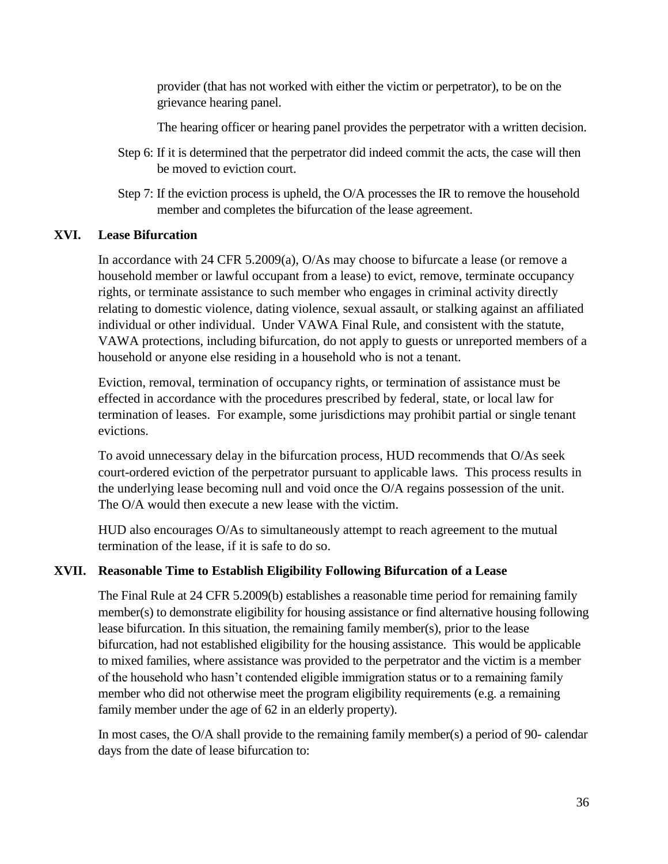provider (that has not worked with either the victim or perpetrator), to be on the grievance hearing panel.

The hearing officer or hearing panel provides the perpetrator with a written decision.

- Step 6: If it is determined that the perpetrator did indeed commit the acts, the case will then be moved to eviction court.
- Step 7: If the eviction process is upheld, the O/A processes the IR to remove the household member and completes the bifurcation of the lease agreement.

#### **XVI. Lease Bifurcation**

In accordance with 24 CFR 5.2009(a), O/As may choose to bifurcate a lease (or remove a household member or lawful occupant from a lease) to evict, remove, terminate occupancy rights, or terminate assistance to such member who engages in criminal activity directly relating to domestic violence, dating violence, sexual assault, or stalking against an affiliated individual or other individual. Under VAWA Final Rule, and consistent with the statute, VAWA protections, including bifurcation, do not apply to guests or unreported members of a household or anyone else residing in a household who is not a tenant.

Eviction, removal, termination of occupancy rights, or termination of assistance must be effected in accordance with the procedures prescribed by federal, state, or local law for termination of leases. For example, some jurisdictions may prohibit partial or single tenant evictions.

To avoid unnecessary delay in the bifurcation process, HUD recommends that O/As seek court-ordered eviction of the perpetrator pursuant to applicable laws. This process results in the underlying lease becoming null and void once the O/A regains possession of the unit. The O/A would then execute a new lease with the victim.

HUD also encourages O/As to simultaneously attempt to reach agreement to the mutual termination of the lease, if it is safe to do so.

#### **XVII. Reasonable Time to Establish Eligibility Following Bifurcation of a Lease**

The Final Rule at 24 CFR 5.2009(b) establishes a reasonable time period for remaining family member(s) to demonstrate eligibility for housing assistance or find alternative housing following lease bifurcation. In this situation, the remaining family member(s), prior to the lease bifurcation, had not established eligibility for the housing assistance. This would be applicable to mixed families, where assistance was provided to the perpetrator and the victim is a member of the household who hasn't contended eligible immigration status or to a remaining family member who did not otherwise meet the program eligibility requirements (e.g. a remaining family member under the age of 62 in an elderly property).

In most cases, the O/A shall provide to the remaining family member(s) a period of 90- calendar days from the date of lease bifurcation to: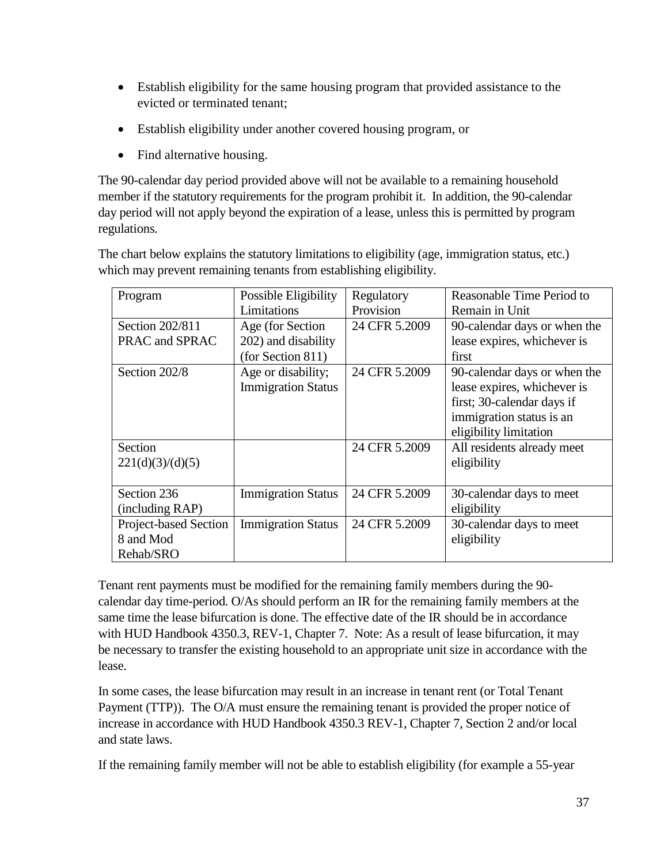- Establish eligibility for the same housing program that provided assistance to the evicted or terminated tenant;
- Establish eligibility under another covered housing program, or
- Find alternative housing.

The 90-calendar day period provided above will not be available to a remaining household member if the statutory requirements for the program prohibit it. In addition, the 90-calendar day period will not apply beyond the expiration of a lease, unless this is permitted by program regulations.

The chart below explains the statutory limitations to eligibility (age, immigration status, etc.) which may prevent remaining tenants from establishing eligibility.

| Program               | Possible Eligibility      | Regulatory    | Reasonable Time Period to    |
|-----------------------|---------------------------|---------------|------------------------------|
|                       | Limitations               | Provision     | Remain in Unit               |
| Section 202/811       | Age (for Section)         | 24 CFR 5.2009 | 90-calendar days or when the |
| PRAC and SPRAC        | 202) and disability       |               | lease expires, whichever is  |
|                       | (for Section 811)         |               | first                        |
| Section 202/8         | Age or disability;        | 24 CFR 5.2009 | 90-calendar days or when the |
|                       | <b>Immigration Status</b> |               | lease expires, whichever is  |
|                       |                           |               | first; 30-calendar days if   |
|                       |                           |               | immigration status is an     |
|                       |                           |               | eligibility limitation       |
| Section               |                           | 24 CFR 5.2009 | All residents already meet   |
| 221(d)(3)/(d)(5)      |                           |               | eligibility                  |
|                       |                           |               |                              |
| Section 236           | <b>Immigration Status</b> | 24 CFR 5.2009 | 30-calendar days to meet     |
| (including RAP)       |                           |               | eligibility                  |
| Project-based Section | <b>Immigration Status</b> | 24 CFR 5.2009 | 30-calendar days to meet     |
| 8 and Mod             |                           |               | eligibility                  |
| Rehab/SRO             |                           |               |                              |

Tenant rent payments must be modified for the remaining family members during the 90 calendar day time-period. O/As should perform an IR for the remaining family members at the same time the lease bifurcation is done. The effective date of the IR should be in accordance with HUD Handbook 4350.3, REV-1, Chapter 7. Note: As a result of lease bifurcation, it may be necessary to transfer the existing household to an appropriate unit size in accordance with the lease.

In some cases, the lease bifurcation may result in an increase in tenant rent (or Total Tenant Payment (TTP)). The O/A must ensure the remaining tenant is provided the proper notice of increase in accordance with HUD Handbook 4350.3 REV-1, Chapter 7, Section 2 and/or local and state laws.

If the remaining family member will not be able to establish eligibility (for example a 55-year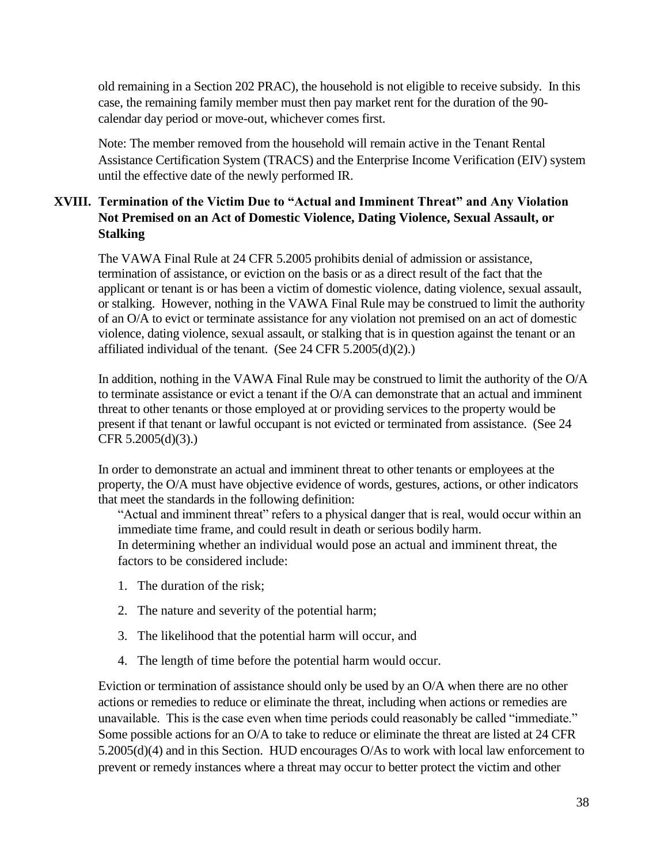old remaining in a Section 202 PRAC), the household is not eligible to receive subsidy. In this case, the remaining family member must then pay market rent for the duration of the 90 calendar day period or move-out, whichever comes first.

Note: The member removed from the household will remain active in the Tenant Rental Assistance Certification System (TRACS) and the Enterprise Income Verification (EIV) system until the effective date of the newly performed IR.

# **XVIII. Termination of the Victim Due to "Actual and Imminent Threat" and Any Violation Not Premised on an Act of Domestic Violence, Dating Violence, Sexual Assault, or Stalking**

The VAWA Final Rule at 24 CFR 5.2005 prohibits denial of admission or assistance, termination of assistance, or eviction on the basis or as a direct result of the fact that the applicant or tenant is or has been a victim of domestic violence, dating violence, sexual assault, or stalking. However, nothing in the VAWA Final Rule may be construed to limit the authority of an O/A to evict or terminate assistance for any violation not premised on an act of domestic violence, dating violence, sexual assault, or stalking that is in question against the tenant or an affiliated individual of the tenant. (See  $24$  CFR  $5.2005(d)(2)$ .)

In addition, nothing in the VAWA Final Rule may be construed to limit the authority of the O/A to terminate assistance or evict a tenant if the O/A can demonstrate that an actual and imminent threat to other tenants or those employed at or providing services to the property would be present if that tenant or lawful occupant is not evicted or terminated from assistance. (See 24 CFR  $5.2005(d)(3)$ .)

In order to demonstrate an actual and imminent threat to other tenants or employees at the property, the O/A must have objective evidence of words, gestures, actions, or other indicators that meet the standards in the following definition:

"Actual and imminent threat" refers to a physical danger that is real, would occur within an immediate time frame, and could result in death or serious bodily harm. In determining whether an individual would pose an actual and imminent threat, the factors to be considered include:

- 1. The duration of the risk;
- 2. The nature and severity of the potential harm;
- 3. The likelihood that the potential harm will occur, and
- 4. The length of time before the potential harm would occur.

Eviction or termination of assistance should only be used by an O/A when there are no other actions or remedies to reduce or eliminate the threat, including when actions or remedies are unavailable. This is the case even when time periods could reasonably be called "immediate." Some possible actions for an O/A to take to reduce or eliminate the threat are listed at 24 CFR 5.2005(d)(4) and in this Section. HUD encourages O/As to work with local law enforcement to prevent or remedy instances where a threat may occur to better protect the victim and other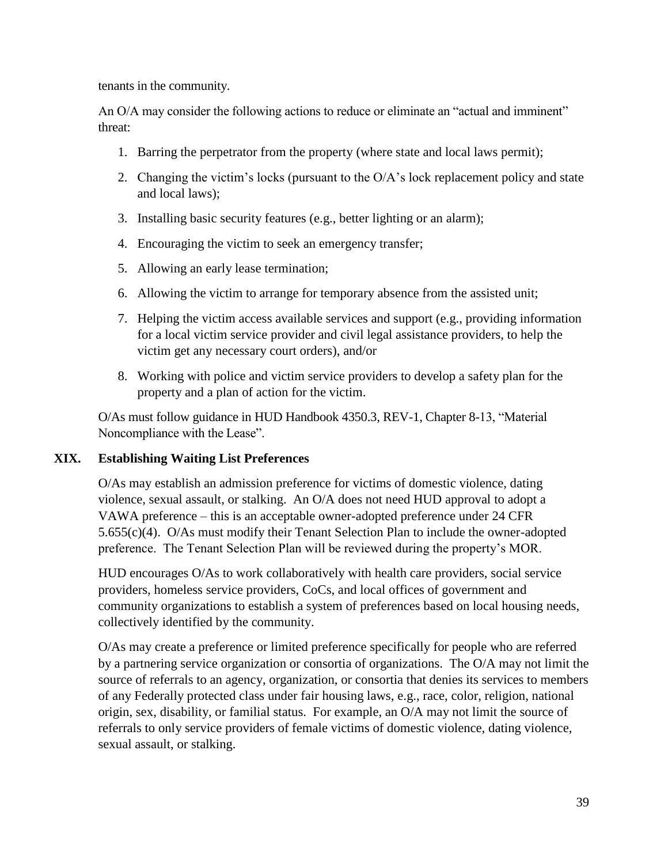tenants in the community.

An O/A may consider the following actions to reduce or eliminate an "actual and imminent" threat:

- 1. Barring the perpetrator from the property (where state and local laws permit);
- 2. Changing the victim's locks (pursuant to the O/A's lock replacement policy and state and local laws);
- 3. Installing basic security features (e.g., better lighting or an alarm);
- 4. Encouraging the victim to seek an emergency transfer;
- 5. Allowing an early lease termination;
- 6. Allowing the victim to arrange for temporary absence from the assisted unit;
- 7. Helping the victim access available services and support (e.g., providing information for a local victim service provider and civil legal assistance providers, to help the victim get any necessary court orders), and/or
- 8. Working with police and victim service providers to develop a safety plan for the property and a plan of action for the victim.

O/As must follow guidance in HUD Handbook 4350.3, REV-1, Chapter 8-13, "Material Noncompliance with the Lease".

#### **XIX. Establishing Waiting List Preferences**

O/As may establish an admission preference for victims of domestic violence, dating violence, sexual assault, or stalking. An O/A does not need HUD approval to adopt a VAWA preference – this is an acceptable owner-adopted preference under 24 CFR 5.655(c)(4). O/As must modify their Tenant Selection Plan to include the owner-adopted preference. The Tenant Selection Plan will be reviewed during the property's MOR.

HUD encourages O/As to work collaboratively with health care providers, social service providers, homeless service providers, CoCs, and local offices of government and community organizations to establish a system of preferences based on local housing needs, collectively identified by the community.

O/As may create a preference or limited preference specifically for people who are referred by a partnering service organization or consortia of organizations. The O/A may not limit the source of referrals to an agency, organization, or consortia that denies its services to members of any Federally protected class under fair housing laws, e.g., race, color, religion, national origin, sex, disability, or familial status. For example, an O/A may not limit the source of referrals to only service providers of female victims of domestic violence, dating violence, sexual assault, or stalking.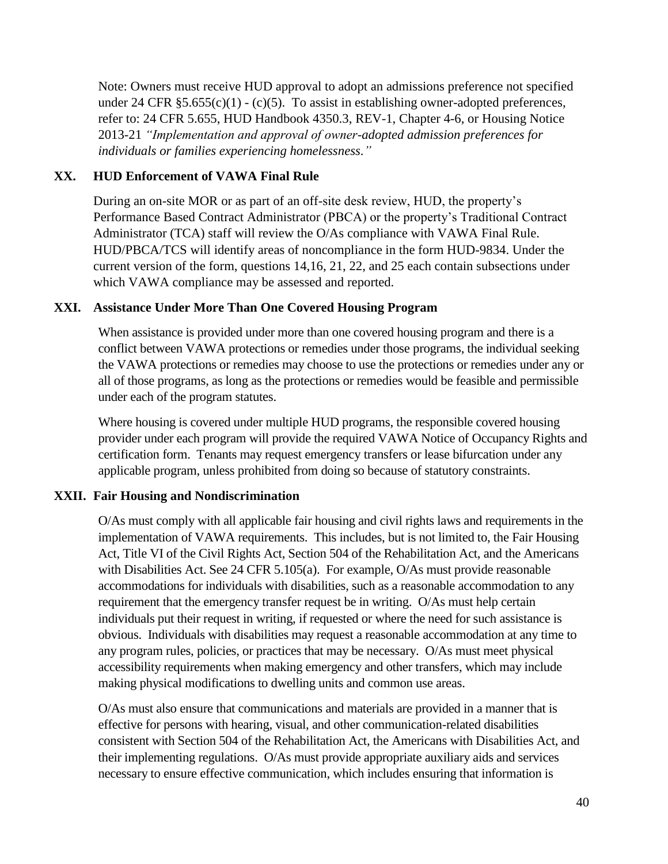Note: Owners must receive HUD approval to adopt an admissions preference not specified under 24 CFR  $\S 5.655(c)(1) - (c)(5)$ . To assist in establishing owner-adopted preferences, refer to: 24 CFR 5.655, HUD Handbook 4350.3, REV-1, Chapter 4-6, or Housing Notice 2013-21 *"Implementation and approval of owner-adopted admission preferences for individuals or families experiencing homelessness."*

#### **XX. HUD Enforcement of VAWA Final Rule**

During an on-site MOR or as part of an off-site desk review, HUD, the property's Performance Based Contract Administrator (PBCA) or the property's Traditional Contract Administrator (TCA) staff will review the O/As compliance with VAWA Final Rule. HUD/PBCA/TCS will identify areas of noncompliance in the form HUD-9834. Under the current version of the form, questions 14,16, 21, 22, and 25 each contain subsections under which VAWA compliance may be assessed and reported.

#### **XXI. Assistance Under More Than One Covered Housing Program**

When assistance is provided under more than one covered housing program and there is a conflict between VAWA protections or remedies under those programs, the individual seeking the VAWA protections or remedies may choose to use the protections or remedies under any or all of those programs, as long as the protections or remedies would be feasible and permissible under each of the program statutes.

Where housing is covered under multiple HUD programs, the responsible covered housing provider under each program will provide the required VAWA Notice of Occupancy Rights and certification form. Tenants may request emergency transfers or lease bifurcation under any applicable program, unless prohibited from doing so because of statutory constraints.

#### **XXII. Fair Housing and Nondiscrimination**

O/As must comply with all applicable fair housing and civil rights laws and requirements in the implementation of VAWA requirements. This includes, but is not limited to, the Fair Housing Act, Title VI of the Civil Rights Act, Section 504 of the Rehabilitation Act, and the Americans with Disabilities Act. See 24 CFR 5.105(a). For example, O/As must provide reasonable accommodations for individuals with disabilities, such as a reasonable accommodation to any requirement that the emergency transfer request be in writing. O/As must help certain individuals put their request in writing, if requested or where the need for such assistance is obvious. Individuals with disabilities may request a reasonable accommodation at any time to any program rules, policies, or practices that may be necessary. O/As must meet physical accessibility requirements when making emergency and other transfers, which may include making physical modifications to dwelling units and common use areas.

O/As must also ensure that communications and materials are provided in a manner that is effective for persons with hearing, visual, and other communication-related disabilities consistent with Section 504 of the Rehabilitation Act, the Americans with Disabilities Act, and their implementing regulations. O/As must provide appropriate auxiliary aids and services necessary to ensure effective communication, which includes ensuring that information is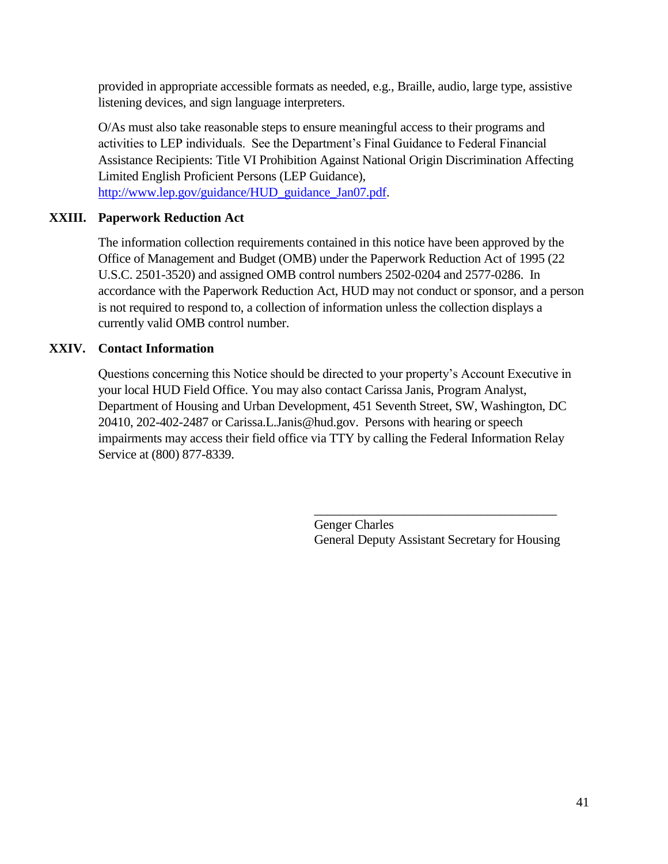provided in appropriate accessible formats as needed, e.g., Braille, audio, large type, assistive listening devices, and sign language interpreters.

O/As must also take reasonable steps to ensure meaningful access to their programs and activities to LEP individuals. See the Department's Final Guidance to Federal Financial Assistance Recipients: Title VI Prohibition Against National Origin Discrimination Affecting Limited English Proficient Persons (LEP Guidance),

[http://www.lep.gov/guidance/HUD\\_guidance\\_Jan07.pdf.](http://www.lep.gov/guidance/HUD_guidance_Jan07.pdf)

## **XXIII. Paperwork Reduction Act**

The information collection requirements contained in this notice have been approved by the Office of Management and Budget (OMB) under the Paperwork Reduction Act of 1995 (22 U.S.C. 2501-3520) and assigned OMB control numbers 2502-0204 and 2577-0286. In accordance with the Paperwork Reduction Act, HUD may not conduct or sponsor, and a person is not required to respond to, a collection of information unless the collection displays a currently valid OMB control number.

## **XXIV. Contact Information**

Questions concerning this Notice should be directed to your property's Account Executive in your local HUD Field Office. You may also contact Carissa Janis, Program Analyst, Department of Housing and Urban Development, 451 Seventh Street, SW, Washington, DC 20410, 202-402-2487 or Carissa.L.Janis@hud.gov. Persons with hearing or speech impairments may access their field office via TTY by calling the Federal Information Relay Service at (800) 877-8339.

> Genger Charles General Deputy Assistant Secretary for Housing

\_\_\_\_\_\_\_\_\_\_\_\_\_\_\_\_\_\_\_\_\_\_\_\_\_\_\_\_\_\_\_\_\_\_\_\_\_\_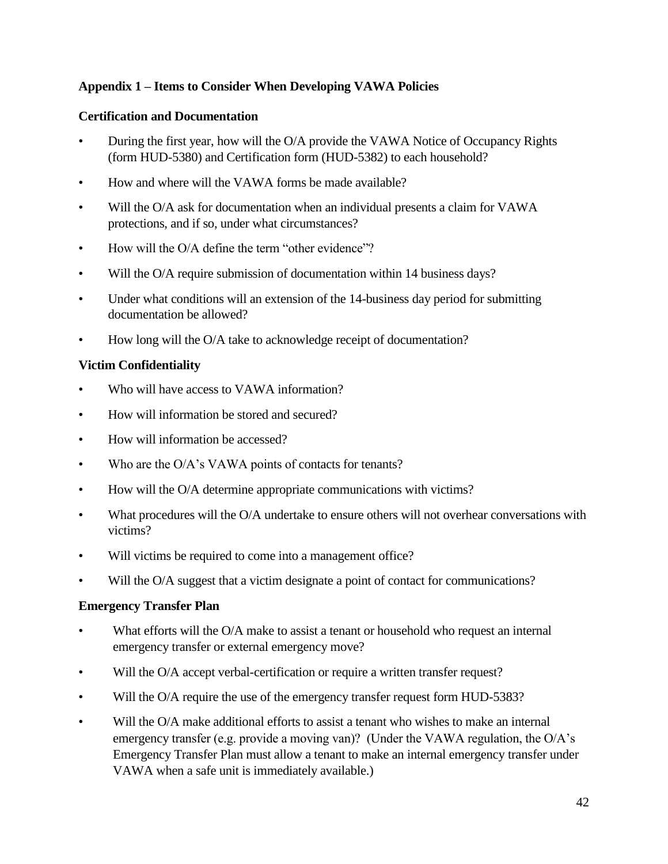## **Appendix 1 – Items to Consider When Developing VAWA Policies**

#### **Certification and Documentation**

- During the first year, how will the O/A provide the VAWA Notice of Occupancy Rights (form HUD-5380) and Certification form (HUD-5382) to each household?
- How and where will the VAWA forms be made available?
- Will the O/A ask for documentation when an individual presents a claim for VAWA protections, and if so, under what circumstances?
- How will the O/A define the term "other evidence"?
- Will the O/A require submission of documentation within 14 business days?
- Under what conditions will an extension of the 14-business day period for submitting documentation be allowed?
- How long will the O/A take to acknowledge receipt of documentation?

## **Victim Confidentiality**

- Who will have access to VAWA information?
- How will information be stored and secured?
- How will information be accessed?
- Who are the O/A's VAWA points of contacts for tenants?
- How will the O/A determine appropriate communications with victims?
- What procedures will the O/A undertake to ensure others will not overhear conversations with victims?
- Will victims be required to come into a management office?
- Will the O/A suggest that a victim designate a point of contact for communications?

## **Emergency Transfer Plan**

- What efforts will the O/A make to assist a tenant or household who request an internal emergency transfer or external emergency move?
- Will the O/A accept verbal-certification or require a written transfer request?
- Will the O/A require the use of the emergency transfer request form HUD-5383?
- Will the O/A make additional efforts to assist a tenant who wishes to make an internal emergency transfer (e.g. provide a moving van)? (Under the VAWA regulation, the O/A's Emergency Transfer Plan must allow a tenant to make an internal emergency transfer under VAWA when a safe unit is immediately available.)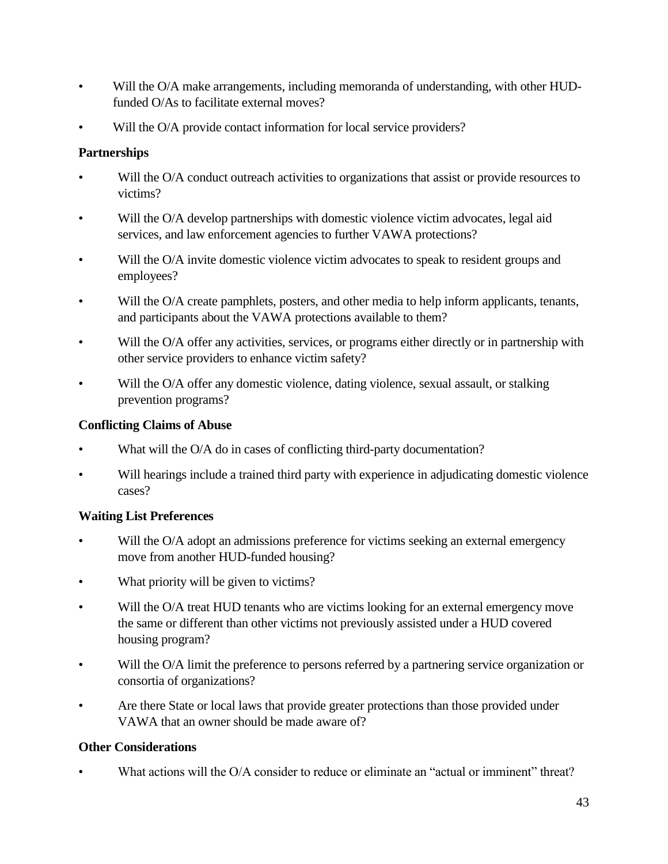- Will the O/A make arrangements, including memoranda of understanding, with other HUDfunded O/As to facilitate external moves?
- Will the O/A provide contact information for local service providers?

## **Partnerships**

- Will the O/A conduct outreach activities to organizations that assist or provide resources to victims?
- Will the O/A develop partnerships with domestic violence victim advocates, legal aid services, and law enforcement agencies to further VAWA protections?
- Will the O/A invite domestic violence victim advocates to speak to resident groups and employees?
- Will the O/A create pamphlets, posters, and other media to help inform applicants, tenants, and participants about the VAWA protections available to them?
- Will the O/A offer any activities, services, or programs either directly or in partnership with other service providers to enhance victim safety?
- Will the O/A offer any domestic violence, dating violence, sexual assault, or stalking prevention programs?

#### **Conflicting Claims of Abuse**

- What will the O/A do in cases of conflicting third-party documentation?
- Will hearings include a trained third party with experience in adjudicating domestic violence cases?

## **Waiting List Preferences**

- Will the O/A adopt an admissions preference for victims seeking an external emergency move from another HUD-funded housing?
- What priority will be given to victims?
- Will the O/A treat HUD tenants who are victims looking for an external emergency move the same or different than other victims not previously assisted under a HUD covered housing program?
- Will the O/A limit the preference to persons referred by a partnering service organization or consortia of organizations?
- Are there State or local laws that provide greater protections than those provided under VAWA that an owner should be made aware of?

## **Other Considerations**

What actions will the O/A consider to reduce or eliminate an "actual or imminent" threat?